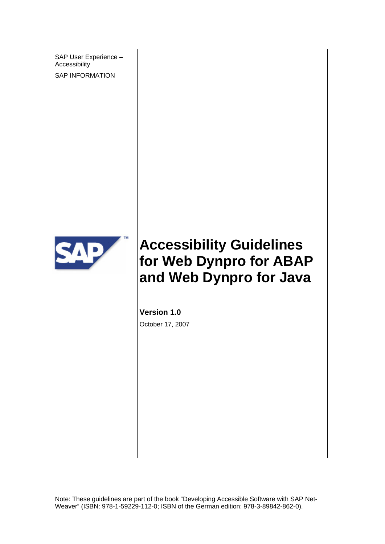SAP User Experience – Accessibility

SAP INFORMATION



# **Accessibility Guidelines for Web Dynpro for ABAP and Web Dynpro for Java**

**Version 1.0**  October 17, 2007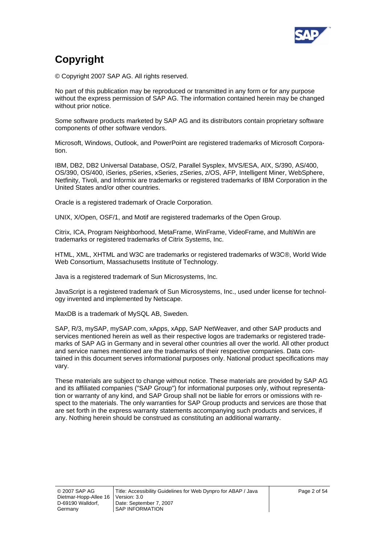

# **Copyright**

© Copyright 2007 SAP AG. All rights reserved.

No part of this publication may be reproduced or transmitted in any form or for any purpose without the express permission of SAP AG. The information contained herein may be changed without prior notice.

Some software products marketed by SAP AG and its distributors contain proprietary software components of other software vendors.

Microsoft, Windows, Outlook, and PowerPoint are registered trademarks of Microsoft Corporation.

IBM, DB2, DB2 Universal Database, OS/2, Parallel Sysplex, MVS/ESA, AIX, S/390, AS/400, OS/390, OS/400, iSeries, pSeries, xSeries, zSeries, z/OS, AFP, Intelligent Miner, WebSphere, Netfinity, Tivoli, and Informix are trademarks or registered trademarks of IBM Corporation in the United States and/or other countries.

Oracle is a registered trademark of Oracle Corporation.

UNIX, X/Open, OSF/1, and Motif are registered trademarks of the Open Group.

Citrix, ICA, Program Neighborhood, MetaFrame, WinFrame, VideoFrame, and MultiWin are trademarks or registered trademarks of Citrix Systems, Inc.

HTML, XML, XHTML and W3C are trademarks or registered trademarks of W3C®, World Wide Web Consortium, Massachusetts Institute of Technology.

Java is a registered trademark of Sun Microsystems, Inc.

JavaScript is a registered trademark of Sun Microsystems, Inc., used under license for technology invented and implemented by Netscape.

MaxDB is a trademark of MySQL AB, Sweden.

SAP, R/3, mySAP, mySAP.com, xApps, xApp, SAP NetWeaver, and other SAP products and services mentioned herein as well as their respective logos are trademarks or registered trademarks of SAP AG in Germany and in several other countries all over the world. All other product and service names mentioned are the trademarks of their respective companies. Data contained in this document serves informational purposes only. National product specifications may vary.

These materials are subject to change without notice. These materials are provided by SAP AG and its affiliated companies ("SAP Group") for informational purposes only, without representation or warranty of any kind, and SAP Group shall not be liable for errors or omissions with respect to the materials. The only warranties for SAP Group products and services are those that are set forth in the express warranty statements accompanying such products and services, if any. Nothing herein should be construed as constituting an additional warranty.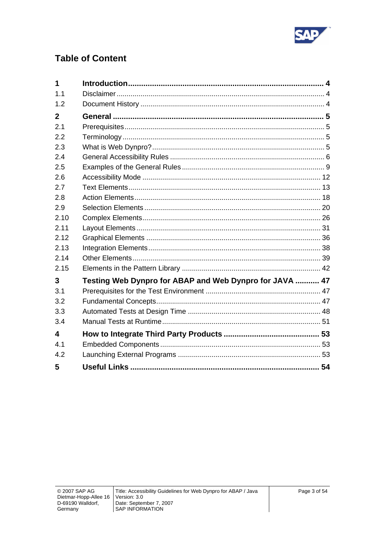

## **Table of Content**

| 1                       |                                                         |  |
|-------------------------|---------------------------------------------------------|--|
| 1.1                     |                                                         |  |
| 1.2                     |                                                         |  |
| $\mathbf{2}$            |                                                         |  |
| 2.1                     |                                                         |  |
| 2.2                     |                                                         |  |
| 2.3                     |                                                         |  |
| 2.4                     |                                                         |  |
| 2.5                     |                                                         |  |
| 2.6                     |                                                         |  |
| 2.7                     |                                                         |  |
| 2.8                     |                                                         |  |
| 2.9                     |                                                         |  |
| 2.10                    |                                                         |  |
| 2.11                    |                                                         |  |
| 2.12                    |                                                         |  |
| 2.13                    |                                                         |  |
| 2.14                    |                                                         |  |
| 2.15                    |                                                         |  |
| 3                       | Testing Web Dynpro for ABAP and Web Dynpro for JAVA  47 |  |
| 3.1                     |                                                         |  |
| 3.2                     |                                                         |  |
| 3.3                     |                                                         |  |
| 3.4                     |                                                         |  |
| $\overline{\mathbf{A}}$ |                                                         |  |
| 4.1                     |                                                         |  |
| 4.2                     |                                                         |  |
| 5                       |                                                         |  |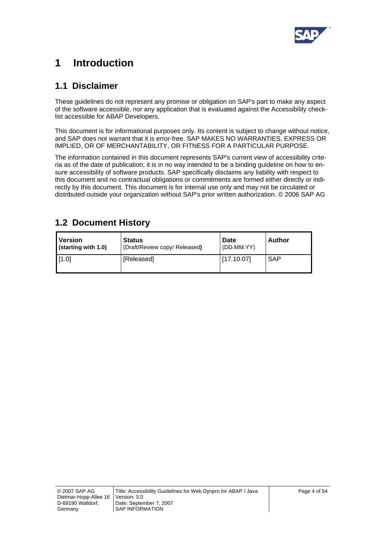

# <span id="page-3-0"></span>**1 Introduction**

## **1.1 Disclaimer**

These guidelines do not represent any promise or obligation on SAP's part to make any aspect of the software accessible, nor any application that is evaluated against the Accessibility checklist accessible for ABAP Developers.

This document is for informational purposes only. Its content is subject to change without notice, and SAP does not warrant that it is error-free. SAP MAKES NO WARRANTIES, EXPRESS OR IMPLIED, OR OF MERCHANTABILITY, OR FITNESS FOR A PARTICULAR PURPOSE.

The information contained in this document represents SAP's current view of accessibility criteria as of the date of publication; it is in no way intended to be a binding guideline on how to ensure accessibility of software products. SAP specifically disclaims any liability with respect to this document and no contractual obligations or commitments are formed either directly or indirectly by this document. This document is for internal use only and may not be circulated or distributed outside your organization without SAP's prior written authorization. © 2006 SAP AG

| Version             | <b>Status</b>                 | <b>Date</b> | Author     |
|---------------------|-------------------------------|-------------|------------|
| (starting with 1.0) | (Draft/Review copy/ Released) | (DD.MM.YY)  |            |
| [1.0]               | [Released]                    | [17.10.07]  | <b>SAP</b> |

## **1.2 Document History**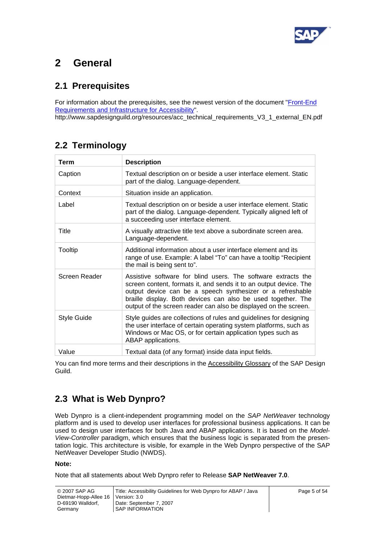

# <span id="page-4-0"></span>**2 General**

## **2.1 Prerequisites**

For information about the prerequisites, see the newest version of the document "Front-End [Requirements and Infrastructure for Accessibility](http://www.sapdesignguild.org/resources/acc_technical_requirements_V3_1_external_EN.pdf)".

http://www.sapdesignguild.org/resources/acc\_technical\_requirements\_V3\_1\_external\_EN.pdf

## **2.2 Terminology**

| <b>Term</b>        | <b>Description</b>                                                                                                                                                                                                                                                                                                                   |
|--------------------|--------------------------------------------------------------------------------------------------------------------------------------------------------------------------------------------------------------------------------------------------------------------------------------------------------------------------------------|
| Caption            | Textual description on or beside a user interface element. Static<br>part of the dialog. Language-dependent.                                                                                                                                                                                                                         |
| Context            | Situation inside an application.                                                                                                                                                                                                                                                                                                     |
| Label              | Textual description on or beside a user interface element. Static<br>part of the dialog. Language-dependent. Typically aligned left of<br>a succeeding user interface element.                                                                                                                                                       |
| Title              | A visually attractive title text above a subordinate screen area.<br>Language-dependent.                                                                                                                                                                                                                                             |
| Tooltip            | Additional information about a user interface element and its<br>range of use. Example: A label "To" can have a tooltip "Recipient<br>the mail is being sent to".                                                                                                                                                                    |
| Screen Reader      | Assistive software for blind users. The software extracts the<br>screen content, formats it, and sends it to an output device. The<br>output device can be a speech synthesizer or a refreshable<br>braille display. Both devices can also be used together. The<br>output of the screen reader can also be displayed on the screen. |
| <b>Style Guide</b> | Style guides are collections of rules and guidelines for designing<br>the user interface of certain operating system platforms, such as<br>Windows or Mac OS, or for certain application types such as<br>ABAP applications.                                                                                                         |
| Value              | Textual data (of any format) inside data input fields.                                                                                                                                                                                                                                                                               |

You can find more terms and their descriptions in the [Accessibility Glossary](http://www1.sapdesignguild.org/editions/edition9/acc_glossary.asp) of the SAP Design Guild.

## **2.3 What is Web Dynpro?**

Web Dynpro is a client-independent programming model on the *SAP NetWeaver* technology platform and is used to develop user interfaces for professional business applications. It can be used to design user interfaces for both Java and ABAP applications. It is based on the *Model-View-Controller* paradigm, which ensures that the business logic is separated from the presentation logic. This architecture is visible, for example in the Web Dynpro perspective of the SAP NetWeaver Developer Studio (NWDS).

#### **Note:**

Note that all statements about Web Dynpro refer to Release **SAP NetWeaver 7.0**.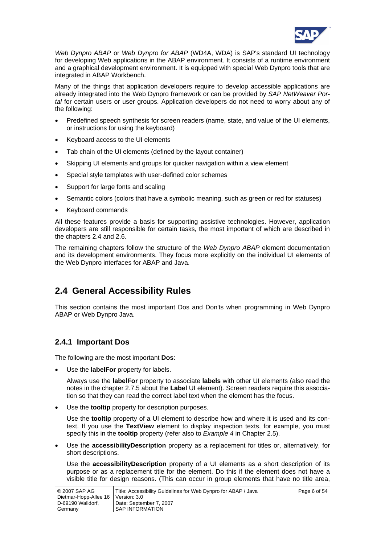

<span id="page-5-0"></span>*Web Dynpro ABAP* or *Web Dynpro for ABAP* (WD4A, WDA) is SAP's standard UI technology for developing Web applications in the ABAP environment. It consists of a runtime environment and a graphical development environment. It is equipped with special Web Dynpro tools that are integrated in ABAP Workbench.

Many of the things that application developers require to develop accessible applications are already integrated into the Web Dynpro framework or can be provided by *SAP NetWeaver Portal* for certain users or user groups. Application developers do not need to worry about any of the following:

- Predefined speech synthesis for screen readers (name, state, and value of the UI elements, or instructions for using the keyboard)
- Keyboard access to the UI elements
- Tab chain of the UI elements (defined by the layout container)
- Skipping UI elements and groups for quicker navigation within a view element
- Special style templates with user-defined color schemes
- Support for large fonts and scaling
- Semantic colors (colors that have a symbolic meaning, such as green or red for statuses)
- Keyboard commands

All these features provide a basis for supporting assistive technologies. However, application developers are still responsible for certain tasks, the most important of which are described in the chapters [2.4](#page-5-1) and [2.6.](#page-11-1)

The remaining chapters follow the structure of the *Web Dynpro ABAP* element documentation and its development environments. They focus more explicitly on the individual UI elements of the Web Dynpro interfaces for ABAP and Java.

## <span id="page-5-1"></span>**2.4 General Accessibility Rules**

This section contains the most important Dos and Don'ts when programming in Web Dynpro ABAP or Web Dynpro Java.

### **2.4.1 Important Dos**

The following are the most important **Dos**:

• Use the **labelFor** property for labels.

Always use the **labelFor** property to associate **labels** with other UI elements (also read the notes in the chapter [2.7.5](#page-14-0) about the **Label** UI element). Screen readers require this association so that they can read the correct label text when the element has the focus.

Use the **tooltip** property for description purposes.

Use the **tooltip** property of a UI element to describe how and where it is used and its context. If you use the **TextView** element to display inspection texts, for example, you must specify this in the **tooltip** property (refer also to *Example 4* in Chapter [2.5\)](#page-8-1).

• Use the **accessibilityDescription** property as a replacement for titles or, alternatively, for short descriptions.

Use the **accessibilityDescription** property of a UI elements as a short description of its purpose or as a replacement title for the element. Do this if the element does not have a visible title for design reasons. (This can occur in group elements that have no title area,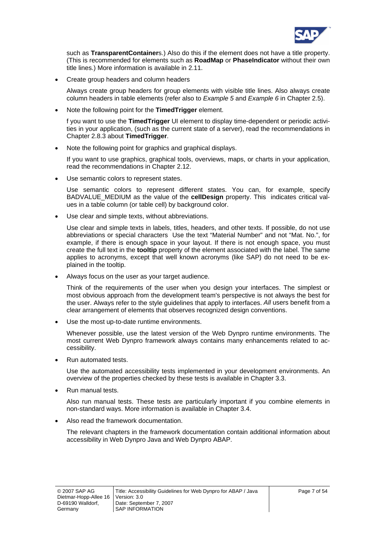

such as **TransparentContainer**s.) Also do this if the element does not have a title property. (This is recommended for elements such as **RoadMap** or **PhaseIndicator** without their own title lines.) More information is available in [2.11.](#page-30-1)

• Create group headers and column headers

Always create group headers for group elements with visible title lines. Also always create column headers in table elements (refer also to *Example 5* and *Example 6* in Chapter [2.5\)](#page-8-1).

• Note the following point for the **TimedTrigger** element.

f you want to use the **TimedTrigger** UI element to display time-dependent or periodic activities in your application, (such as the current state of a server), read the recommendations in Chapter [2.8.3](#page-19-1) about **TimedTrigger**.

• Note the following point for graphics and graphical displays.

If you want to use graphics, graphical tools, overviews, maps, or charts in your application, read the recommendations in Chapter [2.12](#page-35-1).

Use semantic colors to represent states.

Use semantic colors to represent different states. You can, for example, specify BADVALUE\_MEDIUM as the value of the **cellDesign** property. This indicates critical values in a table column (or table cell) by background color.

Use clear and simple texts, without abbreviations.

Use clear and simple texts in labels, titles, headers, and other texts. If possible, do not use abbreviations or special characters Use the text "Material Number" and not "Mat. No.", for example, if there is enough space in your layout. If there is not enough space, you must create the full text in the **tooltip** property of the element associated with the label. The same applies to acronyms, except that well known acronyms (like SAP) do not need to be explained in the tooltip.

• Always focus on the user as your target audience.

Think of the requirements of the user when you design your interfaces. The simplest or most obvious approach from the development team's perspective is not always the best for the user. Always refer to the style guidelines that apply to interfaces. *All* users benefit from a clear arrangement of elements that observes recognized design conventions.

• Use the most up-to-date runtime environments.

Whenever possible, use the latest version of the Web Dynpro runtime environments. The most current Web Dynpro framework always contains many enhancements related to accessibility.

• Run automated tests.

Use the automated accessibility tests implemented in your development environments. An overview of the properties checked by these tests is available in Chapter [3.3](#page-47-1).

• Run manual tests.

Also run manual tests. These tests are particularly important if you combine elements in non-standard ways. More information is available in Chapter [3.4](#page-50-1).

• Also read the framework documentation.

The relevant chapters in the framework documentation contain additional information about accessibility in Web Dynpro Java and Web Dynpro ABAP.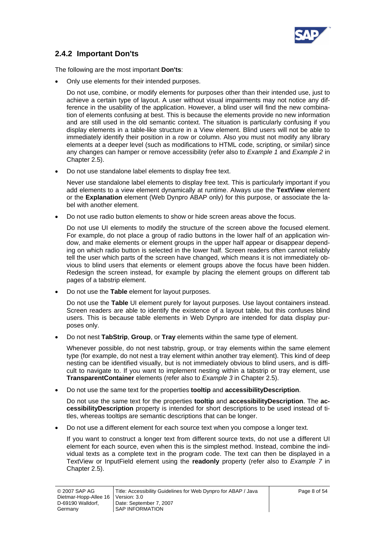

## **2.4.2 Important Don'ts**

The following are the most important **Don'ts**:

• Only use elements for their intended purposes.

Do not use, combine, or modify elements for purposes other than their intended use, just to achieve a certain type of layout. A user without visual impairments may not notice any difference in the usability of the application. However, a blind user will find the new combination of elements confusing at best. This is because the elements provide no new information and are still used in the old semantic context. The situation is particularly confusing if you display elements in a table-like structure in a View element. Blind users will not be able to immediately identify their position in a row or column. Also you must not modify any library elements at a deeper level (such as modifications to HTML code, scripting, or similar) since any changes can hamper or remove accessibility (refer also to *Example 1* and *Example 2* in Chapter [2.5](#page-8-1)).

• Do not use standalone label elements to display free text.

Never use standalone label elements to display free text. This is particularly important if you add elements to a view element dynamically at runtime. Always use the **TextView** element or the **Explanation** element (Web Dynpro ABAP only) for this purpose, or associate the label with another element.

• Do not use radio button elements to show or hide screen areas above the focus.

Do not use UI elements to modify the structure of the screen above the focused element. For example, do not place a group of radio buttons in the lower half of an application window, and make elements or element groups in the upper half appear or disappear depending on which radio button is selected in the lower half. Screen readers often cannot reliably tell the user which parts of the screen have changed, which means it is not immediately obvious to blind users that elements or element groups above the focus have been hidden. Redesign the screen instead, for example by placing the element groups on different tab pages of a tabstrip element.

• Do not use the **Table** element for layout purposes.

Do not use the **Table** UI element purely for layout purposes. Use layout containers instead. Screen readers are able to identify the existence of a layout table, but this confuses blind users. This is because table elements in Web Dynpro are intended for data display purposes only.

• Do not nest **TabStrip**, **Group**, or **Tray** elements within the same type of element.

Whenever possible, do not nest tabstrip, group, or tray elements within the same element type (for example, do not nest a tray element within another tray element). This kind of deep nesting can be identified visually, but is not immediately obvious to blind users, and is difficult to navigate to. If you want to implement nesting within a tabstrip or tray element, use **TransparentContainer** elements (refer also to *Example 3* in Chapter [2.5](#page-8-1)).

• Do not use the same text for the properties **tooltip** and **accessibilityDescription**.

Do not use the same text for the properties **tooltip** and **accessibilityDescription**. The **accessibilityDescription** property is intended for short descriptions to be used instead of titles, whereas tooltips are semantic descriptions that can be longer.

• Do not use a different element for each source text when you compose a longer text.

If you want to construct a longer text from different source texts, do not use a different UI element for each source, even when this is the simplest method. Instead, combine the individual texts as a complete text in the program code. The text can then be displayed in a TextView or InputField element using the **readonly** property (refer also to *Example 7* in Chapter [2.5](#page-8-1)).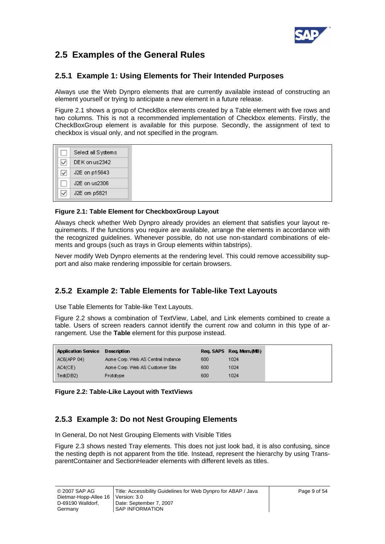

## <span id="page-8-1"></span><span id="page-8-0"></span>**2.5 Examples of the General Rules**

## **2.5.1 Example 1: Using Elements for Their Intended Purposes**

Always use the Web Dynpro elements that are currently available instead of constructing an element yourself or trying to anticipate a new element in a future release.

[Figure 2.1](#page-8-2) shows a group of CheckBox elements created by a Table element with five rows and two columns. This is not a recommended implementation of Checkbox elements. Firstly, the CheckBoxGroup element is available for this purpose. Secondly, the assignment of text to checkbox is visual only, and not specified in the program.

|   | Select all Systems |
|---|--------------------|
| ∼ | DEK on us2342      |
| ⊮ | J2E on p15643      |
|   | J2E on us2306      |
|   | J2E om p5821       |

#### <span id="page-8-2"></span>**Figure 2.1: Table Element for CheckboxGroup Layout**

Always check whether Web Dynpro already provides an element that satisfies your layout requirements. If the functions you require are available, arrange the elements in accordance with the recognized guidelines. Whenever possible, do not use non-standard combinations of elements and groups (such as trays in Group elements within tabstrips).

Never modify Web Dynpro elements at the rendering level. This could remove accessibility support and also make rendering impossible for certain browsers.

## **2.5.2 Example 2: Table Elements for Table-like Text Layouts**

Use Table Elements for Table-like Text Layouts.

[Figure 2.2](#page-8-3) shows a combination of TextView, Label, and Link elements combined to create a table. Users of screen readers cannot identify the current row and column in this type of arrangement. Use the **Table** element for this purpose instead.

| Application Service Description    |     | Reg. SAPS Reg. Mem. (MB) |
|------------------------------------|-----|--------------------------|
| Acme Corp. Web AS Central Instance | 600 | 1024                     |
| Acme Corp. Web AS Customer Site    | 600 | 1024                     |
| <b>Prototype</b>                   | 600 | 1024                     |
|                                    |     |                          |

#### <span id="page-8-3"></span>**Figure 2.2: Table-Like Layout with TextViews**

## **2.5.3 Example 3: Do not Nest Grouping Elements**

In General, Do not Nest Grouping Elements with Visible Titles

[Figure 2.3](#page-9-0) shows nested Tray elements. This does not just look bad, it is also confusing, since the nesting depth is not apparent from the title. Instead, represent the hierarchy by using TransparentContainer and SectionHeader elements with different levels as titles.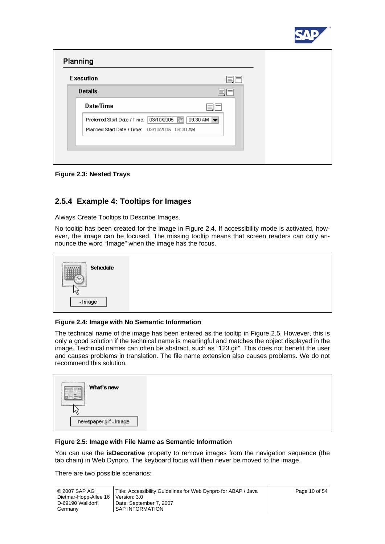

| <b>Execution</b>                               |                                 | Ξl |  |
|------------------------------------------------|---------------------------------|----|--|
| <b>Details</b>                                 | 三                               |    |  |
| Date/Time                                      | $\hspace{0.1mm}-\hspace{0.1mm}$ |    |  |
| Preferred Start Date / Time: 03/10/2005 37     | 09:30 AM $\rightarrow$          |    |  |
| Planned Start Date / Time: 03/10/2005 08:00 AM |                                 |    |  |

<span id="page-9-0"></span>**Figure 2.3: Nested Trays** 

## **2.5.4 Example 4: Tooltips for Images**

Always Create Tooltips to Describe Images.

No tooltip has been created for the image in [Figure 2.4](#page-9-1). If accessibility mode is activated, however, the image can be focused. The missing tooltip means that screen readers can only announce the word "Image" when the image has the focus.



#### <span id="page-9-1"></span>**Figure 2.4: Image with No Semantic Information**

The technical name of the image has been entered as the tooltip in [Figure 2.5](#page-9-2). However, this is only a good solution if the technical name is meaningful and matches the object displayed in the image. Technical names can often be abstract, such as "123.gif". This does not benefit the user and causes problems in translation. The file name extension also causes problems. We do not recommend this solution.

#### <span id="page-9-2"></span>**Figure 2.5: Image with File Name as Semantic Information**

You can use the **isDecorative** property to remove images from the navigation sequence (the tab chain) in Web Dynpro. The keyboard focus will then never be moved to the image.

There are two possible scenarios: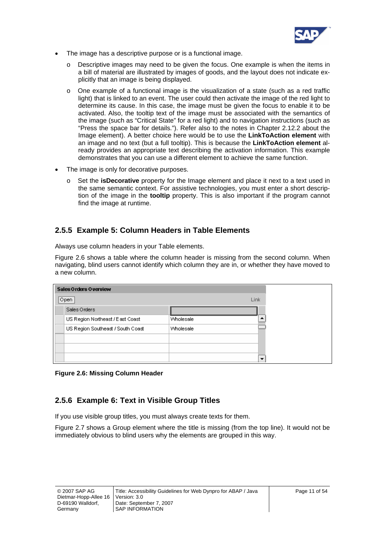

- The image has a descriptive purpose or is a functional image.
	- Descriptive images may need to be given the focus. One example is when the items in a bill of material are illustrated by images of goods, and the layout does not indicate explicitly that an image is being displayed.
	- o One example of a functional image is the visualization of a state (such as a red traffic light) that is linked to an event. The user could then activate the image of the red light to determine its cause. In this case, the image must be given the focus to enable it to be activated. Also, the tooltip text of the image must be associated with the semantics of the image (such as "Critical State" for a red light) and to navigation instructions (such as "Press the space bar for details."). Refer also to the notes in Chapter [2.12.2](#page-35-2) about the Image element). A better choice here would be to use the **LinkToAction element** with an image and no text (but a full tooltip). This is because the **LinkToAction element** already provides an appropriate text describing the activation information. This example demonstrates that you can use a different element to achieve the same function.
- The image is only for decorative purposes.
	- Set the **isDecorative** property for the Image element and place it next to a text used in the same semantic context. For assistive technologies, you must enter a short description of the image in the **tooltip** property. This is also important if the program cannot find the image at runtime.

### **2.5.5 Example 5: Column Headers in Table Elements**

Always use column headers in your Table elements.

[Figure 2.6](#page-10-0) shows a table where the column header is missing from the second column. When navigating, blind users cannot identify which column they are in, or whether they have moved to a new column.

| Sales Orders Overview             |                  |                          |
|-----------------------------------|------------------|--------------------------|
| Open:                             |                  | Link                     |
| Sales Orders                      |                  |                          |
| US Region Northeast / East Coast  | <b>Wholesale</b> |                          |
| US Region Southeast / South Coast | <b>Wholesale</b> |                          |
|                                   |                  |                          |
|                                   |                  |                          |
|                                   |                  | $\overline{\phantom{a}}$ |

<span id="page-10-0"></span>**Figure 2.6: Missing Column Header** 

## **2.5.6 Example 6: Text in Visible Group Titles**

If you use visible group titles, you must always create texts for them.

[Figure 2.7](#page-11-2) shows a Group element where the title is missing (from the top line). It would not be immediately obvious to blind users why the elements are grouped in this way.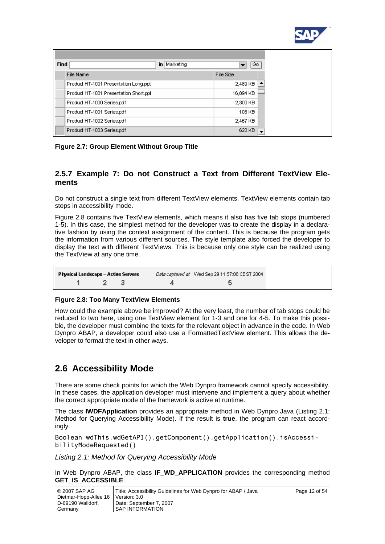

<span id="page-11-0"></span>

| <b>Find</b>                            | in Marketing | Go.       |  |
|----------------------------------------|--------------|-----------|--|
| File Name                              |              | File Size |  |
| Product HT-1001 Presentation Long.ppt  |              | 2,489 KB  |  |
| Product HT-1001 Presentation Short.ppt |              | 16,894 KB |  |
| Product HT-1000 Series.pdf             |              | 2,300 KB  |  |
| Product HT-1001 Series.pdf             |              | 108 KB    |  |
| Product HT-1002 Series.pdf             |              | 2,467 KB  |  |
| Product HT-1003 Series.pdf             |              | 620 KB    |  |

#### <span id="page-11-2"></span>**Figure 2.7: Group Element Without Group Title**

### **2.5.7 Example 7: Do not Construct a Text from Different TextView Elements**

Do not construct a single text from different TextView elements. TextView elements contain tab stops in accessibility mode.

[Figure 2.8](#page-11-3) contains five TextView elements, which means it also has five tab stops (numbered 1-5). In this case, the simplest method for the developer was to create the display in a declarative fashion by using the context assignment of the content. This is because the program gets the information from various different sources. The style template also forced the developer to display the text with different TextViews. This is because only one style can be realized using the TextView at any one time.

| Physical Landscape – Active Servers | Data captured at Wed Sep 29 11:57:08 CEST 2004 |
|-------------------------------------|------------------------------------------------|
| $1 \t 7 \t 3$                       |                                                |

#### <span id="page-11-3"></span>**Figure 2.8: Too Many TextView Elements**

How could the example above be improved? At the very least, the number of tab stops could be reduced to two here, using one TextView element for 1-3 and one for 4-5. To make this possible, the developer must combine the texts for the relevant object in advance in the code. In Web Dynpro ABAP, a developer could also use a FormattedTextView element. This allows the developer to format the text in other ways.

## <span id="page-11-1"></span>**2.6 Accessibility Mode**

There are some check points for which the Web Dynpro framework cannot specify accessibility. In these cases, the application developer must intervene and implement a query about whether the correct appropriate mode of the framework is active at runtime.

The class **IWDFApplication** provides an appropriate method in Web Dynpro Java [\(Listing 2.1:](#page-11-4)  [Method for Querying Accessibility Mode\)](#page-11-4). If the result is **true**, the program can react accordingly.

```
Boolean wdThis.wdGetAPI().getComponent().getApplication().isAccessi-
bilityModeRequested()
```
<span id="page-11-4"></span>*Listing 2.1: Method for Querying Accessibility Mode* 

In Web Dynpro ABAP, the class **IF WD APPLICATION** provides the corresponding method **GET\_IS\_ACCESSIBLE**.

| © 2007 SAP AG                        | Title: Accessibility Guidelines for Web Dynpro for ABAP / Java | Page 12 of 54 |
|--------------------------------------|----------------------------------------------------------------|---------------|
| Dietmar-Hopp-Allee 16   Version: 3.0 |                                                                |               |
| D-69190 Walldorf.                    | Date: September 7, 2007                                        |               |
| Germany                              | SAP INFORMATION                                                |               |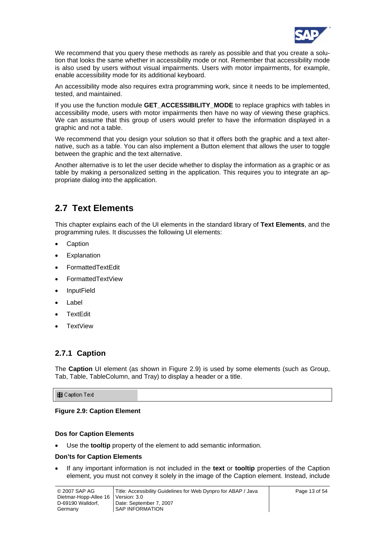

<span id="page-12-0"></span>We recommend that you query these methods as rarely as possible and that you create a solution that looks the same whether in accessibility mode or not. Remember that accessibility mode is also used by users without visual impairments. Users with motor impairments, for example, enable accessibility mode for its additional keyboard.

An accessibility mode also requires extra programming work, since it needs to be implemented, tested, and maintained.

If you use the function module **GET\_ACCESSIBILITY\_MODE** to replace graphics with tables in accessibility mode, users with motor impairments then have no way of viewing these graphics. We can assume that this group of users would prefer to have the information displayed in a graphic and not a table.

We recommend that you design your solution so that it offers both the graphic and a text alternative, such as a table. You can also implement a Button element that allows the user to toggle between the graphic and the text alternative.

Another alternative is to let the user decide whether to display the information as a graphic or as table by making a personalized setting in the application. This requires you to integrate an appropriate dialog into the application.

## **2.7 Text Elements**

This chapter explains each of the UI elements in the standard library of **Text Elements**, and the programming rules. It discusses the following UI elements:

- **Caption**
- **Explanation**
- FormattedTextEdit
- FormattedTextView
- InputField
- **Label**
- **TextEdit**
- **TextView**

## **2.7.1 Caption**

The **Caption** UI element (as shown in [Figure 2.9](#page-12-1)) is used by some elements (such as Group, Tab, Table, TableColumn, and Tray) to display a header or a title.

#### **图 Caption Text**

#### <span id="page-12-1"></span>**Figure 2.9: Caption Element**

#### **Dos for Caption Elements**

• Use the **tooltip** property of the element to add semantic information.

#### **Don'ts for Caption Elements**

• If any important information is not included in the **text** or **tooltip** properties of the Caption element, you must not convey it solely in the image of the Caption element. Instead, include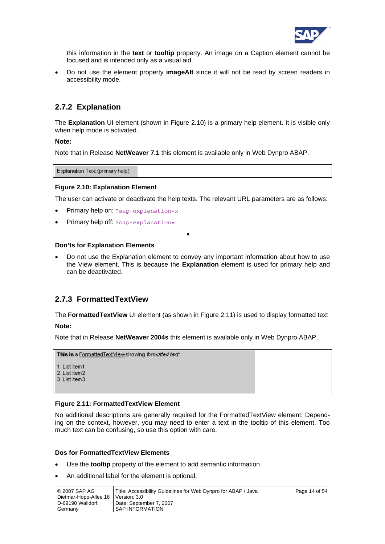

this information in the **text** or **tooltip** property. An image on a Caption element cannot be focused and is intended only as a visual aid.

• Do not use the element property **imageAlt** since it will not be read by screen readers in accessibility mode.

## **2.7.2 Explanation**

The **Explanation** UI element (shown in [Figure 2.10](#page-13-0)) is a primary help element. It is visible only when help mode is activated.

#### **Note:**

Note that in Release **NetWeaver 7.1** this element is available only in Web Dynpro ABAP.

Explanation Text (primary help)

#### <span id="page-13-0"></span>**Figure 2.10: Explanation Element**

The user can activate or deactivate the help texts. The relevant URL parameters are as follows:

- Primary help on: ?sap-explanation=x
- Primary help off: ?sap-explanation=

#### **Don'ts for Explanation Elements**

• Do not use the Explanation element to convey any important information about how to use the View element. This is because the **Explanation** element is used for primary help and can be deactivated.

•

### **2.7.3 FormattedTextView**

The **Formatted Text View** UI element (as shown in [Figure 2.11\)](#page-13-1) is used to display formatted text

**Note:** 

Note that in Release **NetWeaver 2004s** this element is available only in Web Dynpro ABAP.

```
This is a FormattedTextViewshowing formatted text:
```

```
1. List item1
2. List item 2
3. List item3
```
#### <span id="page-13-1"></span>**Figure 2.11: FormattedTextView Element**

No additional descriptions are generally required for the FormattedTextView element. Depending on the context, however, you may need to enter a text in the tooltip of this element. Too much text can be confusing, so use this option with care.

#### **Dos for FormattedTextView Elements**

- Use the **tooltip** property of the element to add semantic information.
- An additional label for the element is optional.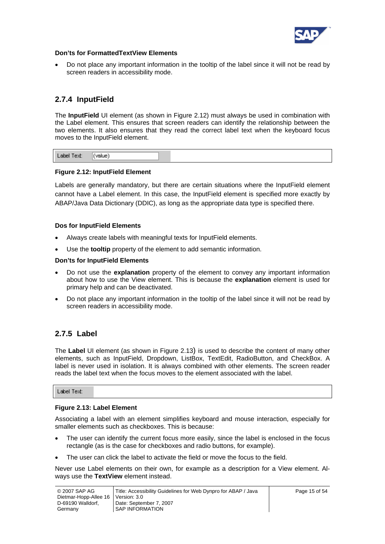

#### **Don'ts for FormattedTextView Elements**

• Do not place any important information in the tooltip of the label since it will not be read by screen readers in accessibility mode.

## **2.7.4 InputField**

The **InputField** UI element (as shown in [Figure 2.12\)](#page-14-1) must always be used in combination with the Label element. This ensures that screen readers can identify the relationship between the two elements. It also ensures that they read the correct label text when the keyboard focus moves to the InputField element.

|--|--|--|

#### <span id="page-14-1"></span>**Figure 2.12: InputField Element**

Labels are generally mandatory, but there are certain situations where the InputField element cannot have a Label element. In this case, the InputField element is specified more exactly by ABAP/Java Data Dictionary (DDIC), as long as the appropriate data type is specified there.

#### **Dos for InputField Elements**

- Always create labels with meaningful texts for InputField elements.
- Use the **tooltip** property of the element to add semantic information.

#### **Don'ts for InputField Elements**

- Do not use the **explanation** property of the element to convey any important information about how to use the View element. This is because the **explanation** element is used for primary help and can be deactivated.
- Do not place any important information in the tooltip of the label since it will not be read by screen readers in accessibility mode.

## <span id="page-14-0"></span>**2.7.5 Label**

The **Label** UI element (as shown in [Figure 2.13\)](#page-14-2) is used to describe the content of many other elements, such as InputField, Dropdown, ListBox, TextEdit, RadioButton, and CheckBox. A label is never used in isolation. It is always combined with other elements. The screen reader reads the label text when the focus moves to the element associated with the label.

Label Text:

#### <span id="page-14-2"></span>**Figure 2.13: Label Element**

Associating a label with an element simplifies keyboard and mouse interaction, especially for smaller elements such as checkboxes. This is because:

- The user can identify the current focus more easily, since the label is enclosed in the focus rectangle (as is the case for checkboxes and radio buttons, for example).
- The user can click the label to activate the field or move the focus to the field.

Never use Label elements on their own, for example as a description for a View element. Always use the **TextView** element instead.

| © 2007 SAP AG         | Title: Accessibility Guidelines for Web Dynpro for ABAP / Java | Page 15 of 54 |
|-----------------------|----------------------------------------------------------------|---------------|
| Dietmar-Hopp-Allee 16 | Version: 3.0                                                   |               |
| D-69190 Walldorf.     | Date: September 7, 2007                                        |               |
| Germany               | SAP INFORMATION                                                |               |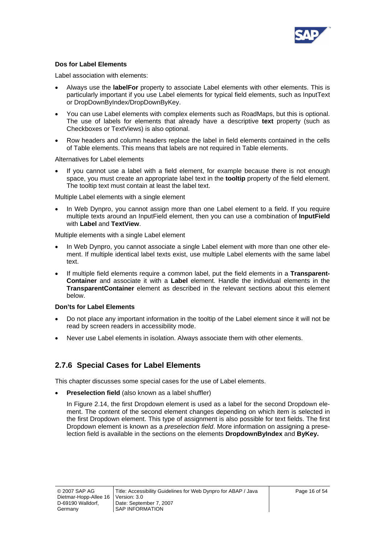

#### **Dos for Label Elements**

Label association with elements:

- Always use the **labelFor** property to associate Label elements with other elements. This is particularly important if you use Label elements for typical field elements, such as InputText or DropDownByIndex/DropDownByKey.
- You can use Label elements with complex elements such as RoadMaps, but this is optional. The use of labels for elements that already have a descriptive **text** property (such as Checkboxes or TextViews) is also optional.
- Row headers and column headers replace the label in field elements contained in the cells of Table elements. This means that labels are not required in Table elements.

Alternatives for Label elements

If you cannot use a label with a field element, for example because there is not enough space, you must create an appropriate label text in the **tooltip** property of the field element. The tooltip text must contain at least the label text.

Multiple Label elements with a single element

• In Web Dynpro, you cannot assign more than one Label element to a field. If you require multiple texts around an InputField element, then you can use a combination of **InputField** with **Label** and **TextView**.

Multiple elements with a single Label element

- In Web Dynpro, you cannot associate a single Label element with more than one other element. If multiple identical label texts exist, use multiple Label elements with the same label text.
- If multiple field elements require a common label, put the field elements in a **Transparent-Container** and associate it with a **Label** element. Handle the individual elements in the **TransparentContainer** element as described in the relevant sections about this element below.

#### **Don'ts for Label Elements**

- Do not place any important information in the tooltip of the Label element since it will not be read by screen readers in accessibility mode.
- Never use Label elements in isolation. Always associate them with other elements.

## **2.7.6 Special Cases for Label Elements**

This chapter discusses some special cases for the use of Label elements.

**Preselection field** (also known as a label shuffler)

In [Figure 2.14,](#page-16-0) the first Dropdown element is used as a label for the second Dropdown element. The content of the second element changes depending on which item is selected in the first Dropdown element. This type of assignment is also possible for text fields. The first Dropdown element is known as a *preselection field*. More information on assigning a preselection field is available in the sections on the elements **DropdownByIndex** and **ByKey.**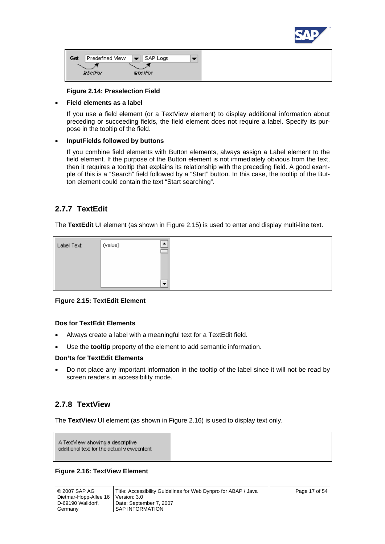

| Get<br>Predefined View | $ \blacktriangledown $ SAP Logs |  |
|------------------------|---------------------------------|--|
| labelFor               | labelFor                        |  |

#### **Figure 2.14: Preselection Field**

#### <span id="page-16-0"></span>• **Field elements as a label**

If you use a field element (or a TextView element) to display additional information about preceding or succeeding fields, the field element does not require a label. Specify its purpose in the tooltip of the field.

#### • **InputFields followed by buttons**

If you combine field elements with Button elements, always assign a Label element to the field element. If the purpose of the Button element is not immediately obvious from the text, then it requires a tooltip that explains its relationship with the preceding field. A good example of this is a "Search" field followed by a "Start" button. In this case, the tooltip of the Button element could contain the text "Start searching".

### **2.7.7 TextEdit**

The **TextEdit** UI element (as shown in [Figure 2.15\)](#page-16-1) is used to enter and display multi-line text.



#### <span id="page-16-1"></span>**Figure 2.15: TextEdit Element**

#### **Dos for TextEdit Elements**

- Always create a label with a meaningful text for a TextEdit field.
- Use the **tooltip** property of the element to add semantic information.

#### **Don'ts for TextEdit Elements**

• Do not place any important information in the tooltip of the label since it will not be read by screen readers in accessibility mode.

### **2.7.8 TextView**

The **TextView** UI element (as shown in [Figure 2.16\)](#page-16-2) is used to display text only.

A TextMew showing a descriptive additional text for the actual viewcontent

#### <span id="page-16-2"></span>**Figure 2.16: TextView Element**

| © 2007 SAP AG                        | Title: Accessibility Guidelines for Web Dynpro for ABAP / Java |
|--------------------------------------|----------------------------------------------------------------|
| Dietmar-Hopp-Allee 16   Version: 3.0 |                                                                |
| D-69190 Walldorf.                    | Date: September 7, 2007                                        |
| Germany                              | I SAP INFORMATION                                              |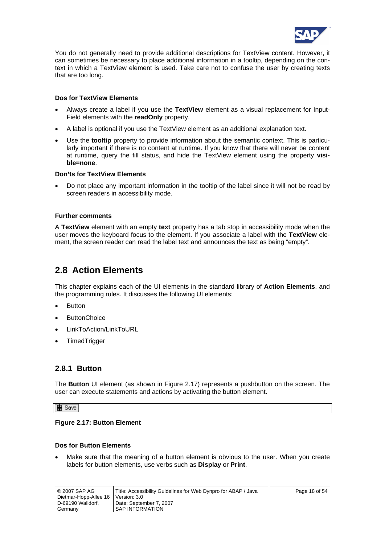

<span id="page-17-0"></span>You do not generally need to provide additional descriptions for TextView content. However, it can sometimes be necessary to place additional information in a tooltip, depending on the context in which a TextView element is used. Take care not to confuse the user by creating texts that are too long.

#### **Dos for TextView Elements**

- Always create a label if you use the **TextView** element as a visual replacement for Input-Field elements with the **readOnly** property.
- A label is optional if you use the TextView element as an additional explanation text.
- Use the **tooltip** property to provide information about the semantic context. This is particularly important if there is no content at runtime. If you know that there will never be content at runtime, query the fill status, and hide the TextView element using the property **visible=none**.

#### **Don'ts for TextView Elements**

• Do not place any important information in the tooltip of the label since it will not be read by screen readers in accessibility mode.

#### **Further comments**

A **TextView** element with an empty **text** property has a tab stop in accessibility mode when the user moves the keyboard focus to the element. If you associate a label with the **TextView** element, the screen reader can read the label text and announces the text as being "empty".

## **2.8 Action Elements**

This chapter explains each of the UI elements in the standard library of **Action Elements**, and the programming rules. It discusses the following UI elements:

- **Button**
- **ButtonChoice**
- LinkToAction/LinkToURL
- **TimedTrigger**

### **2.8.1 Button**

The **Button** UI element (as shown in [Figure 2.17\)](#page-17-1) represents a pushbutton on the screen. The user can execute statements and actions by activating the button element.

#### **團** Save

#### <span id="page-17-1"></span>**Figure 2.17: Button Element**

#### **Dos for Button Elements**

Make sure that the meaning of a button element is obvious to the user. When you create labels for button elements, use verbs such as **Display** or **Print**.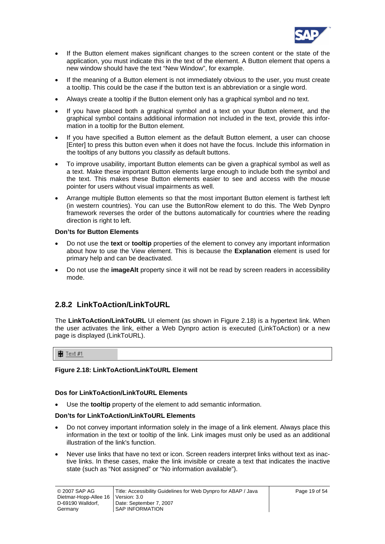

- If the Button element makes significant changes to the screen content or the state of the application, you must indicate this in the text of the element. A Button element that opens a new window should have the text "New Window", for example.
- If the meaning of a Button element is not immediately obvious to the user, you must create a tooltip. This could be the case if the button text is an abbreviation or a single word.
- Always create a tooltip if the Button element only has a graphical symbol and no text.
- If you have placed both a graphical symbol and a text on your Button element, and the graphical symbol contains additional information not included in the text, provide this information in a tooltip for the Button element.
- If you have specified a Button element as the default Button element, a user can choose [Enter] to press this button even when it does not have the focus. Include this information in the tooltips of any buttons you classify as default buttons.
- To improve usability, important Button elements can be given a graphical symbol as well as a text. Make these important Button elements large enough to include both the symbol and the text. This makes these Button elements easier to see and access with the mouse pointer for users without visual impairments as well.
- Arrange multiple Button elements so that the most important Button element is farthest left (in western countries). You can use the ButtonRow element to do this. The Web Dynpro framework reverses the order of the buttons automatically for countries where the reading direction is right to left.

#### **Don'ts for Button Elements**

- Do not use the **text** or **tooltip** properties of the element to convey any important information about how to use the View element. This is because the **Explanation** element is used for primary help and can be deactivated.
- Do not use the **imageAlt** property since it will not be read by screen readers in accessibility mode.

## **2.8.2 LinkToAction/LinkToURL**

The **LinkToAction/LinkToURL** UI element (as shown in [Figure 2.18\)](#page-18-0) is a hypertext link. When the user activates the link, either a Web Dynpro action is executed (LinkToAction) or a new page is displayed (LinkToURL).

 $E$  Text #1

#### <span id="page-18-0"></span>**Figure 2.18: LinkToAction/LinkToURL Element**

#### **Dos for LinkToAction/LinkToURL Elements**

• Use the **tooltip** property of the element to add semantic information.

#### **Don'ts for LinkToAction/LinkToURL Elements**

- Do not convey important information solely in the image of a link element. Always place this information in the text or tooltip of the link. Link images must only be used as an additional illustration of the link's function.
- Never use links that have no text or icon. Screen readers interpret links without text as inactive links. In these cases, make the link invisible or create a text that indicates the inactive state (such as "Not assigned" or "No information available").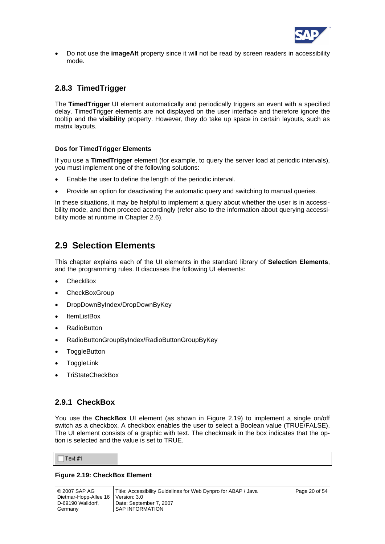

<span id="page-19-0"></span>• Do not use the **imageAlt** property since it will not be read by screen readers in accessibility mode.

## <span id="page-19-1"></span>**2.8.3 TimedTrigger**

The **TimedTrigger** UI element automatically and periodically triggers an event with a specified delay. TimedTrigger elements are not displayed on the user interface and therefore ignore the tooltip and the **visibility** property. However, they do take up space in certain layouts, such as matrix layouts.

#### **Dos for TimedTrigger Elements**

If you use a **TimedTrigger** element (for example, to query the server load at periodic intervals), you must implement one of the following solutions:

- Enable the user to define the length of the periodic interval.
- Provide an option for deactivating the automatic query and switching to manual queries.

In these situations, it may be helpful to implement a query about whether the user is in accessibility mode, and then proceed accordingly (refer also to the information about querying accessibility mode at runtime in Chapter [2.6\)](#page-11-1).

## **2.9 Selection Elements**

This chapter explains each of the UI elements in the standard library of **Selection Elements**, and the programming rules. It discusses the following UI elements:

- CheckBox
- **CheckBoxGroup**
- DropDownByIndex/DropDownByKey
- ItemListBox
- **RadioButton**
- RadioButtonGroupByIndex/RadioButtonGroupByKey
- **ToggleButton**
- **ToggleLink**
- TriStateCheckBox

### **2.9.1 CheckBox**

You use the **CheckBox** UI element (as shown in [Figure 2.19\)](#page-19-2) to implement a single on/off switch as a checkbox. A checkbox enables the user to select a Boolean value (TRUE/FALSE). The UI element consists of a graphic with text. The checkmark in the box indicates that the option is selected and the value is set to TRUE.

 $\exists$  Text #1

#### <span id="page-19-2"></span>**Figure 2.19: CheckBox Element**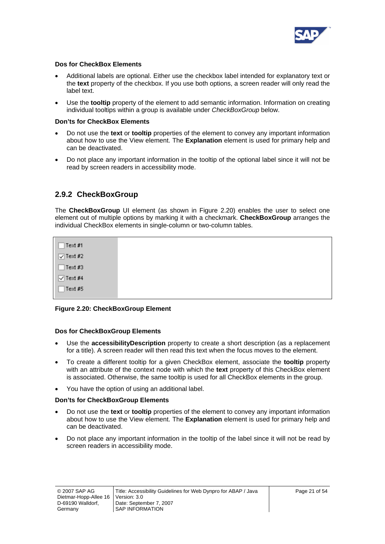

#### **Dos for CheckBox Elements**

- Additional labels are optional. Either use the checkbox label intended for explanatory text or the **text** property of the checkbox. If you use both options, a screen reader will only read the label text.
- Use the **tooltip** property of the element to add semantic information. Information on creating individual tooltips within a group is available under *CheckBoxGroup* below.

#### **Don'ts for CheckBox Elements**

- Do not use the **text** or **tooltip** properties of the element to convey any important information about how to use the View element. The **Explanation** element is used for primary help and can be deactivated.
- Do not place any important information in the tooltip of the optional label since it will not be read by screen readers in accessibility mode.

### **2.9.2 CheckBoxGroup**

The **CheckBoxGroup** UI element (as shown in [Figure 2.20\)](#page-20-0) enables the user to select one element out of multiple options by marking it with a checkmark. **CheckBoxGroup** arranges the individual CheckBox elements in single-column or two-column tables.

 $\exists$  Text #1  $\sqrt{ }$  Text #2  $\Box$ Text #3  $\sqrt{ }$  Text #4  $\exists$  Text #5

<span id="page-20-0"></span>**Figure 2.20: CheckBoxGroup Element** 

#### **Dos for CheckBoxGroup Elements**

- Use the **accessibilityDescription** property to create a short description (as a replacement for a title). A screen reader will then read this text when the focus moves to the element.
- To create a different tooltip for a given CheckBox element, associate the **tooltip** property with an attribute of the context node with which the **text** property of this CheckBox element is associated. Otherwise, the same tooltip is used for all CheckBox elements in the group.
- You have the option of using an additional label.

#### **Don'ts for CheckBoxGroup Elements**

- Do not use the **text** or **tooltip** properties of the element to convey any important information about how to use the View element. The **Explanation** element is used for primary help and can be deactivated.
- Do not place any important information in the tooltip of the label since it will not be read by screen readers in accessibility mode.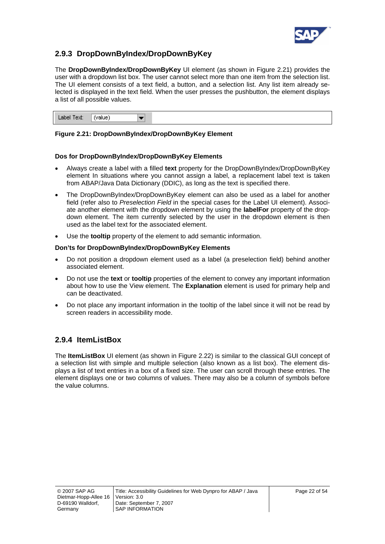

## **2.9.3 DropDownByIndex/DropDownByKey**

The **DropDownByIndex/DropDownByKey** UI element (as shown in [Figure 2.21](#page-21-0)) provides the user with a dropdown list box. The user cannot select more than one item from the selection list. The UI element consists of a text field, a button, and a selection list. Any list item already selected is displayed in the text field. When the user presses the pushbutton, the element displays a list of all possible values.

Label Text: (value)  $\overline{\phantom{a}}$ 

#### <span id="page-21-0"></span>**Figure 2.21: DropDownByIndex/DropDownByKey Element**

#### **Dos for DropDownByIndex/DropDownByKey Elements**

- Always create a label with a filled **text** property for the DropDownByIndex/DropDownByKey element In situations where you cannot assign a label, a replacement label text is taken from ABAP/Java Data Dictionary (DDIC), as long as the text is specified there.
- The DropDownByIndex/DropDownByKey element can also be used as a label for another field (refer also to *Preselection Field* in the special cases for the Label UI element). Associate another element with the dropdown element by using the **labelFor** property of the dropdown element. The item currently selected by the user in the dropdown element is then used as the label text for the associated element.
- Use the **tooltip** property of the element to add semantic information.

#### **Don'ts for DropDownByIndex/DropDownByKey Elements**

- Do not position a dropdown element used as a label (a preselection field) behind another associated element.
- Do not use the **text** or **tooltip** properties of the element to convey any important information about how to use the View element. The **Explanation** element is used for primary help and can be deactivated.
- Do not place any important information in the tooltip of the label since it will not be read by screen readers in accessibility mode.

### **2.9.4 ItemListBox**

The **ItemListBox** UI element (as shown in [Figure 2.22\)](#page-22-0) is similar to the classical GUI concept of a selection list with simple and multiple selection (also known as a list box). The element displays a list of text entries in a box of a fixed size. The user can scroll through these entries. The element displays one or two columns of values. There may also be a column of symbols before the value columns.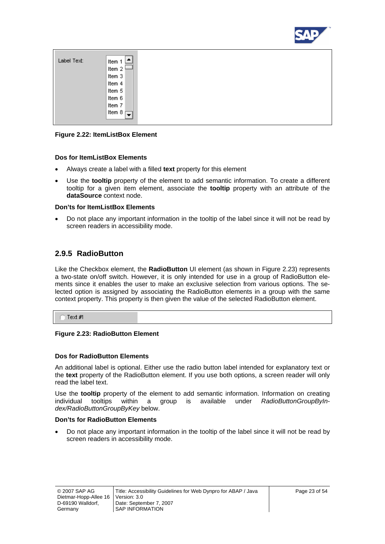

| Label Text: | Item 1                             |
|-------------|------------------------------------|
|             | Item 2                             |
|             | Item 3                             |
|             | Item 4                             |
|             | Item 5                             |
|             | Item 6                             |
|             | Item 7                             |
|             | Item 8<br>$\overline{\phantom{a}}$ |
|             |                                    |

#### <span id="page-22-0"></span>**Figure 2.22: ItemListBox Element**

#### **Dos for ItemListBox Elements**

- Always create a label with a filled **text** property for this element
- Use the **tooltip** property of the element to add semantic information. To create a different tooltip for a given item element, associate the **tooltip** property with an attribute of the **dataSource** context node.

#### **Don'ts for ItemListBox Elements**

• Do not place any important information in the tooltip of the label since it will not be read by screen readers in accessibility mode.

### **2.9.5 RadioButton**

Like the Checkbox element, the **RadioButton** UI element (as shown in [Figure 2.23\)](#page-22-1) represents a two-state on/off switch. However, it is only intended for use in a group of RadioButton elements since it enables the user to make an exclusive selection from various options. The selected option is assigned by associating the RadioButton elements in a group with the same context property. This property is then given the value of the selected RadioButton element.

 $\cap$  Text #1

#### <span id="page-22-1"></span>**Figure 2.23: RadioButton Element**

#### **Dos for RadioButton Elements**

An additional label is optional. Either use the radio button label intended for explanatory text or the **text** property of the RadioButton element. If you use both options, a screen reader will only read the label text.

Use the **tooltip** property of the element to add semantic information. Information on creating individual tooltips within a group is available under *RadioButtonGroupByIndex/RadioButtonGroupByKey* below.

#### **Don'ts for RadioButton Elements**

• Do not place any important information in the tooltip of the label since it will not be read by screen readers in accessibility mode.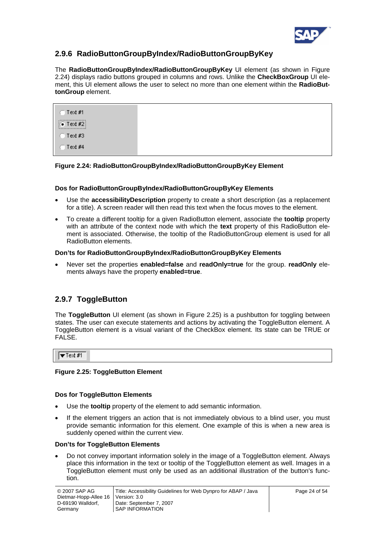

## **2.9.6 RadioButtonGroupByIndex/RadioButtonGroupByKey**

The **RadioButtonGroupByIndex/RadioButtonGroupByKey** UI element (as shown in [Figure](#page-23-0)  [2.24\)](#page-23-0) displays radio buttons grouped in columns and rows. Unlike the **CheckBoxGroup** UI element, this UI element allows the user to select no more than one element within the **RadioButtonGroup** element.

| $\Box$ Text #1        |  |  |
|-----------------------|--|--|
| $\bullet$ Text #2<br> |  |  |
| $C$ Text #3           |  |  |
| $\Box$ Text #4        |  |  |

#### <span id="page-23-0"></span>**Figure 2.24: RadioButtonGroupByIndex/RadioButtonGroupByKey Element**

#### **Dos for RadioButtonGroupByIndex/RadioButtonGroupByKey Elements**

- Use the **accessibilityDescription** property to create a short description (as a replacement for a title). A screen reader will then read this text when the focus moves to the element.
- To create a different tooltip for a given RadioButton element, associate the **tooltip** property with an attribute of the context node with which the **text** property of this RadioButton element is associated. Otherwise, the tooltip of the RadioButtonGroup element is used for all RadioButton elements.

#### **Don'ts for RadioButtonGroupByIndex/RadioButtonGroupByKey Elements**

• Never set the properties **enabled=false** and **readOnly=true** for the group. **readOnly** elements always have the property **enabled=true**.

## **2.9.7 ToggleButton**

The **ToggleButton** UI element (as shown in [Figure 2.25](#page-23-1)) is a pushbutton for toggling between states. The user can execute statements and actions by activating the ToggleButton element. A ToggleButton element is a visual variant of the CheckBox element. Its state can be TRUE or FALSE.

 $\sqrt{\mathbf{r}}$  Text #1

#### <span id="page-23-1"></span>**Figure 2.25: ToggleButton Element**

#### **Dos for ToggleButton Elements**

- Use the **tooltip** property of the element to add semantic information.
- If the element triggers an action that is not immediately obvious to a blind user, you must provide semantic information for this element. One example of this is when a new area is suddenly opened within the current view.

#### **Don'ts for ToggleButton Elements**

• Do not convey important information solely in the image of a ToggleButton element. Always place this information in the text or tooltip of the ToggleButton element as well. Images in a ToggleButton element must only be used as an additional illustration of the button's function.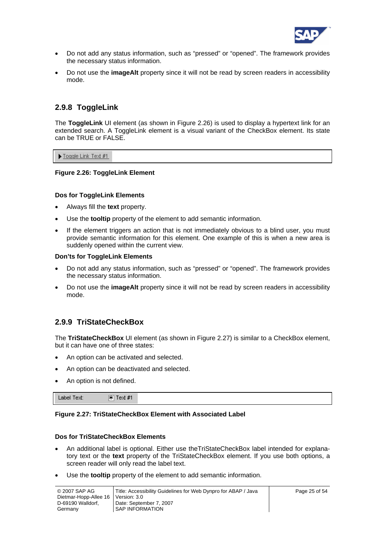

- Do not add any status information, such as "pressed" or "opened". The framework provides the necessary status information.
- Do not use the **imageAlt** property since it will not be read by screen readers in accessibility mode.

### **2.9.8 ToggleLink**

The **ToggleLink** UI element (as shown in [Figure 2.26](#page-24-0)) is used to display a hypertext link for an extended search. A ToggleLink element is a visual variant of the CheckBox element. Its state can be TRUE or FALSE.

Toggle Link Text #1

#### <span id="page-24-0"></span>**Figure 2.26: ToggleLink Element**

#### **Dos for ToggleLink Elements**

- Always fill the **text** property.
- Use the **tooltip** property of the element to add semantic information.
- If the element triggers an action that is not immediately obvious to a blind user, you must provide semantic information for this element. One example of this is when a new area is suddenly opened within the current view.

#### **Don'ts for ToggleLink Elements**

- Do not add any status information, such as "pressed" or "opened". The framework provides the necessary status information.
- Do not use the **imageAlt** property since it will not be read by screen readers in accessibility mode.

## **2.9.9 TriStateCheckBox**

The **TriStateCheckBox** UI element (as shown in [Figure 2.27\)](#page-24-1) is similar to a CheckBox element, but it can have one of three states:

- An option can be activated and selected.
- An option can be deactivated and selected.
- An option is not defined.

Label Text: 图 Text #1

#### <span id="page-24-1"></span>**Figure 2.27: TriStateCheckBox Element with Associated Label**

#### **Dos for TriStateCheckBox Elements**

- An additional label is optional. Either use theTriStateCheckBox label intended for explanatory text or the **text** property of the TriStateCheckBox element. If you use both options, a screen reader will only read the label text.
- Use the **tooltip** property of the element to add semantic information.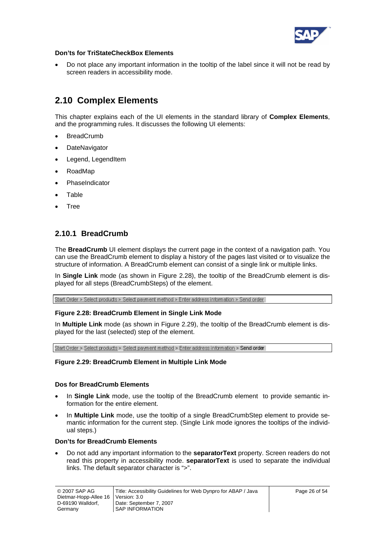

#### <span id="page-25-0"></span>**Don'ts for TriStateCheckBox Elements**

• Do not place any important information in the tooltip of the label since it will not be read by screen readers in accessibility mode.

## **2.10 Complex Elements**

This chapter explains each of the UI elements in the standard library of **Complex Elements**, and the programming rules. It discusses the following UI elements:

- **BreadCrumb**
- **DateNavigator**
- Legend, LegendItem
- RoadMap
- **PhaseIndicator**
- **Table**
- Tree

## **2.10.1 BreadCrumb**

The **BreadCrumb** UI element displays the current page in the context of a navigation path. You can use the BreadCrumb element to display a history of the pages last visited or to visualize the structure of information. A BreadCrumb element can consist of a single link or multiple links.

In **Single Link** mode (as shown in [Figure 2.28\)](#page-25-1), the tooltip of the BreadCrumb element is displayed for all steps (BreadCrumbSteps) of the element.

Start Order > Select products > Select payment method > Enter address information > Send order

#### <span id="page-25-1"></span>**Figure 2.28: BreadCrumb Element in Single Link Mode**

In **Multiple Link** mode (as shown in [Figure 2.29](#page-25-2)), the tooltip of the BreadCrumb element is displayed for the last (selected) step of the element.

Start Order > Select products > Select payment method > Enter address information > Send order

#### <span id="page-25-2"></span>**Figure 2.29: BreadCrumb Element in Multiple Link Mode**

#### **Dos for BreadCrumb Elements**

- In **Single Link** mode, use the tooltip of the BreadCrumb element to provide semantic information for the entire element.
- In **Multiple Link** mode, use the tooltip of a single BreadCrumbStep element to provide semantic information for the current step. (Single Link mode ignores the tooltips of the individual steps.)

#### **Don'ts for BreadCrumb Elements**

• Do not add any important information to the **separatorText** property. Screen readers do not read this property in accessibility mode. **separatorText** is used to separate the individual links. The default separator character is ">".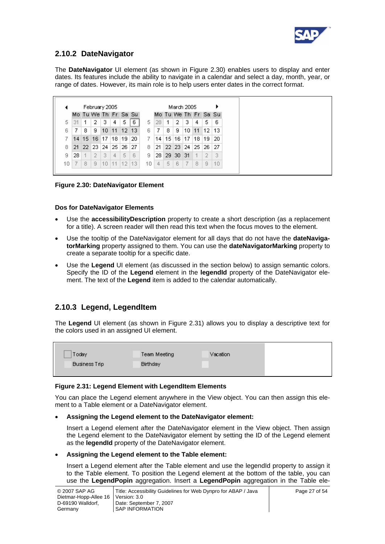

## **2.10.2 DateNavigator**

The **DateNavigator** UI element (as shown in [Figure 2.30](#page-26-0)) enables users to display and enter dates. Its features include the ability to navigate in a calendar and select a day, month, year, or range of dates. However, its main role is to help users enter dates in the correct format.

|     | February 2005 |    |                      |         |        |                |     |     | March 2005 |    |                        |                 |    |    |                 |
|-----|---------------|----|----------------------|---------|--------|----------------|-----|-----|------------|----|------------------------|-----------------|----|----|-----------------|
|     |               |    | Mo Tu We Th Fr Sa Su |         |        |                |     |     |            |    | Mo Tu We Th Fr Sa Su   |                 |    |    |                 |
| 5   | -31.          | 1. | 2                    | 3.      | 4      | 5              | 6.  | 5.  | 28         |    | 2                      | з.              | 4  | 5  | 6               |
| 6   | 7.            | 8  | 9                    | $10-10$ |        | $11 \ 12 \ 13$ |     | 6.  | 7.         | 8  | 9                      | 10 <sup>1</sup> | 11 | 12 | 13              |
|     |               |    | 14 15 16 17 18 19    |         |        |                | 20  |     |            |    | 14   15   16   17   18 |                 |    | 19 | 20              |
| 8   |               |    | 21 22 23 24 25 26 27 |         |        |                |     | 8.  | 21.        |    | 22 23 24 25 26         |                 |    |    | $\overline{27}$ |
| 9   | 28.           |    | 2                    | 3       | 4      | 5.             | 6   | 9   |            |    | 28 29 30 31            |                 |    | 2  | 3               |
| 10. | 7             | 8  | 9                    | $10 -$  | 11  12 |                | 113 | 10. | 4          | 5. | 6                      | 7               | 8  | 9  | 10              |

<span id="page-26-0"></span>**Figure 2.30: DateNavigator Element** 

#### **Dos for DateNavigator Elements**

- Use the **accessibilityDescription** property to create a short description (as a replacement for a title). A screen reader will then read this text when the focus moves to the element.
- Use the tooltip of the DateNavigator element for all days that do not have the **dateNavigatorMarking** property assigned to them. You can use the **dateNavigatorMarking** property to create a separate tooltip for a specific date.
- Use the **Legend** UI element (as discussed in the section below) to assign semantic colors. Specify the ID of the **Legend** element in the **legendId** property of the DateNavigator element. The text of the **Legend** item is added to the calendar automatically.

## **2.10.3 Legend, LegendItem**

The **Legend** UI element (as shown in [Figure 2.31](#page-26-1)) allows you to display a descriptive text for the colors used in an assigned UI element.

Today Team Meeting Vacation **Business Trip Birthday** 

#### <span id="page-26-1"></span>**Figure 2.31: Legend Element with LegendItem Elements**

You can place the Legend element anywhere in the View object. You can then assign this element to a Table element or a DateNavigator element.

#### • **Assigning the Legend element to the DateNavigator element:**

Insert a Legend element after the DateNavigator element in the View object. Then assign the Legend element to the DateNavigator element by setting the ID of the Legend element as the **legendId** property of the DateNavigator element.

#### • **Assigning the Legend element to the Table element:**

Insert a Legend element after the Table element and use the legendId property to assign it to the Table element. To position the Legend element at the bottom of the table, you can use the **LegendPopin** aggregation. Insert a **LegendPopin** aggregation in the Table ele-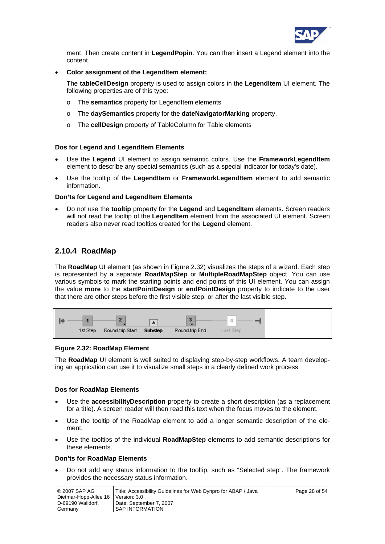

ment. Then create content in **LegendPopin**. You can then insert a Legend element into the content.

#### • **Color assignment of the LegendItem element:**

The **tableCellDesign** property is used to assign colors in the **LegendItem** UI element. The following properties are of this type:

- o The **semantics** property for LegendItem elements
- o The **daySemantics** property for the **dateNavigatorMarking** property.
- o The **cellDesign** property of TableColumn for Table elements

#### **Dos for Legend and LegendItem Elements**

- Use the **Legend** UI element to assign semantic colors. Use the **FrameworkLegendItem** element to describe any special semantics (such as a special indicator for today's date).
- Use the tooltip of the **LegendItem** or **FrameworkLegendItem** element to add semantic information.

#### **Don'ts for Legend and LegendItem Elements**

• Do not use the **tooltip** property for the **Legend** and **LegendItem** elements. Screen readers will not read the tooltip of the **LegendItem** element from the associated UI element. Screen readers also never read tooltips created for the **Legend** element.

### **2.10.4 RoadMap**

The **RoadMap** UI element (as shown in [Figure 2.32\)](#page-27-0) visualizes the steps of a wizard. Each step is represented by a separate **RoadMapStep** or **MultipleRoadMapStep** object. You can use various symbols to mark the starting points and end points of this UI element. You can assign the value **more** to the **startPointDesign** or **endPointDesign** property to indicate to the user that there are other steps before the first visible step, or after the last visible step.

|          |                          | a | $\overline{u}$ | -          |  |
|----------|--------------------------|---|----------------|------------|--|
| 1st Step | Round-trip Start Substep |   | Round-trip End | Last Step. |  |

#### <span id="page-27-0"></span>**Figure 2.32: RoadMap Element**

The **RoadMap** UI element is well suited to displaying step-by-step workflows. A team developing an application can use it to visualize small steps in a clearly defined work process.

#### **Dos for RoadMap Elements**

- Use the **accessibilityDescription** property to create a short description (as a replacement for a title). A screen reader will then read this text when the focus moves to the element.
- Use the tooltip of the RoadMap element to add a longer semantic description of the element.
- Use the tooltips of the individual **RoadMapStep** elements to add semantic descriptions for these elements.

#### **Don'ts for RoadMap Elements**

• Do not add any status information to the tooltip, such as "Selected step". The framework provides the necessary status information.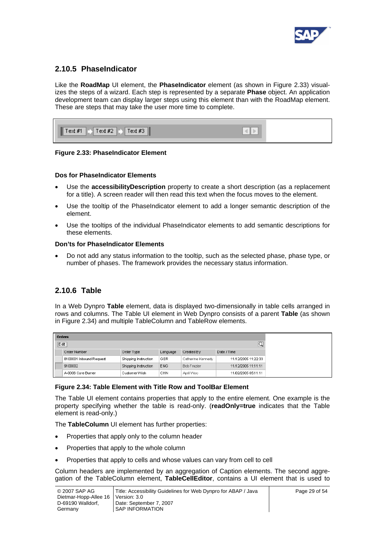

### **2.10.5 PhaseIndicator**

Like the **RoadMap** UI element, the **PhaseIndicator** element (as shown in [Figure 2.33\)](#page-28-0) visualizes the steps of a wizard. Each step is represented by a separate **Phase** object. An application development team can display larger steps using this element than with the RoadMap element. These are steps that may take the user more time to complete.

| $Text #1$ $\rightarrow$ $Text #2$ $\rightarrow$ $Text #3$ |  |
|-----------------------------------------------------------|--|
|                                                           |  |

#### <span id="page-28-0"></span>**Figure 2.33: PhaseIndicator Element**

#### **Dos for PhaseIndicator Elements**

- Use the **accessibilityDescription** property to create a short description (as a replacement for a title). A screen reader will then read this text when the focus moves to the element.
- Use the tooltip of the PhaseIndicator element to add a longer semantic description of the element.
- Use the tooltips of the individual PhaseIndicator elements to add semantic descriptions for these elements.

#### **Don'ts for PhaseIndicator Elements**

• Do not add any status information to the tooltip, such as the selected phase, phase type, or number of phases. The framework provides the necessary status information.

## **2.10.6 Table**

In a Web Dynpro **Table** element, data is displayed two-dimensionally in table cells arranged in rows and columns. The Table UI element in Web Dynpro consists of a parent **Table** (as shown in [Figure 2.34](#page-28-1)) and multiple TableColumn and TableRow elements.

| Orders                  |                      |                 |                    |                     |  |  |  |  |  |  |  |
|-------------------------|----------------------|-----------------|--------------------|---------------------|--|--|--|--|--|--|--|
| ⊡<br>Edit               |                      |                 |                    |                     |  |  |  |  |  |  |  |
| Order Number            | Order Type           | Language        | Created By         | Date / Time         |  |  |  |  |  |  |  |
| 8100001 Inbound Request | Shipping Instruction | GER             | Catherine Kennedy  | 11/12/2005 11:22:33 |  |  |  |  |  |  |  |
| 9100002                 | Shipping Instruction | E <sub>NG</sub> | <b>Bob Frazier</b> | 11/12/2005 11:11:11 |  |  |  |  |  |  |  |
| A-0006 Core Burner      | Customer Wish        | <b>CHN</b>      | April Woo          | 11/02/2005 05:11:11 |  |  |  |  |  |  |  |

#### <span id="page-28-1"></span>**Figure 2.34: Table Element with Title Row and ToolBar Element**

The Table UI element contains properties that apply to the entire element. One example is the property specifying whether the table is read-only. (**readOnly=true** indicates that the Table element is read-only.)

The **TableColumn** UI element has further properties:

- Properties that apply only to the column header
- Properties that apply to the whole column
- Properties that apply to cells and whose values can vary from cell to cell

Column headers are implemented by an aggregation of Caption elements. The second aggregation of the TableColumn element, **TableCellEditor**, contains a UI element that is used to

| © 2007 SAP AG                        | Title: Accessibility Guidelines for Web Dynpro for ABAP / Java | Page 29 of 54 |
|--------------------------------------|----------------------------------------------------------------|---------------|
| Dietmar-Hopp-Allee 16   Version: 3.0 |                                                                |               |
| D-69190 Walldorf.                    | Date: September 7, 2007                                        |               |
| Germany                              | SAP INFORMATION                                                |               |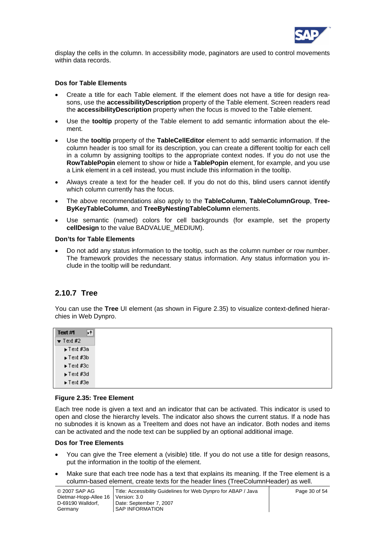

display the cells in the column. In accessibility mode, paginators are used to control movements within data records.

#### **Dos for Table Elements**

- Create a title for each Table element. If the element does not have a title for design reasons, use the **accessibilityDescription** property of the Table element. Screen readers read the **accessibilityDescription** property when the focus is moved to the Table element.
- Use the **tooltip** property of the Table element to add semantic information about the element.
- Use the **tooltip** property of the **TableCellEditor** element to add semantic information. If the column header is too small for its description, you can create a different tooltip for each cell in a column by assigning tooltips to the appropriate context nodes. If you do not use the **RowTablePopin** element to show or hide a **TablePopin** element, for example, and you use a Link element in a cell instead, you must include this information in the tooltip.
- Always create a text for the header cell. If you do not do this, blind users cannot identify which column currently has the focus.
- The above recommendations also apply to the **TableColumn**, **TableColumnGroup**, **Tree-ByKeyTableColumn**, and **TreeByNestingTableColumn** elements.
- Use semantic (named) colors for cell backgrounds (for example, set the property **cellDesign** to the value BADVALUE\_MEDIUM).

#### **Don'ts for Table Elements**

• Do not add any status information to the tooltip, such as the column number or row number. The framework provides the necessary status information. Any status information you include in the tooltip will be redundant.

#### **2.10.7 Tree**

You can use the **Tree** UI element (as shown in [Figure 2.35\)](#page-29-0) to visualize context-defined hierarchies in Web Dynpro.

| Text #1<br>۰t    |
|------------------|
| $\bullet$ Text#2 |
| ► Text #3a       |
| ► Text #3b       |
| ► Text #3c       |
| ► Text #3d       |
| ► Text #3e       |

#### <span id="page-29-0"></span>**Figure 2.35: Tree Element**

Each tree node is given a text and an indicator that can be activated. This indicator is used to open and close the hierarchy levels. The indicator also shows the current status. If a node has no subnodes it is known as a TreeItem and does not have an indicator. Both nodes and items can be activated and the node text can be supplied by an optional additional image.

#### **Dos for Tree Elements**

- You can give the Tree element a (visible) title. If you do not use a title for design reasons, put the information in the tooltip of the element.
- Make sure that each tree node has a text that explains its meaning. If the Tree element is a column-based element, create texts for the header lines (TreeColumnHeader) as well.

| © 2007 SAP AG                        | Title: Accessibility Guidelines for Web Dynpro for ABAP / Java |  |
|--------------------------------------|----------------------------------------------------------------|--|
| Dietmar-Hopp-Allee 16   Version: 3.0 |                                                                |  |
| D-69190 Walldorf.                    | Date: September 7, 2007                                        |  |
| Germany                              | <b>SAP INFORMATION</b>                                         |  |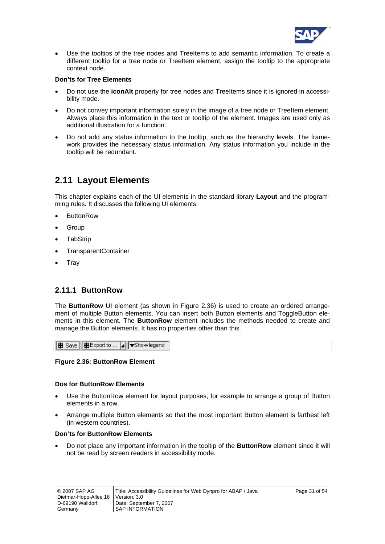

<span id="page-30-0"></span>• Use the tooltips of the tree nodes and TreeItems to add semantic information. To create a different tooltip for a tree node or TreeItem element, assign the tooltip to the appropriate context node.

#### **Don'ts for Tree Elements**

- Do not use the **iconAlt** property for tree nodes and TreeItems since it is ignored in accessibility mode.
- Do not convey important information solely in the image of a tree node or TreeItem element. Always place this information in the text or tooltip of the element. Images are used only as additional illustration for a function.
- Do not add any status information to the tooltip, such as the hierarchy levels. The framework provides the necessary status information. Any status information you include in the tooltip will be redundant.

## <span id="page-30-1"></span>**2.11 Layout Elements**

This chapter explains each of the UI elements in the standard library **Layout** and the programming rules. It discusses the following UI elements:

- **ButtonRow**
- **Group**
- **TabStrip**
- TransparentContainer
- **Tray**

### **2.11.1 ButtonRow**

The **ButtonRow** UI element (as shown in [Figure 2.36](#page-30-2)) is used to create an ordered arrangement of multiple Button elements. You can insert both Button elements and ToggleButton elements in this element. The **ButtonRow** element includes the methods needed to create and manage the Button elements. It has no properties other than this.

|  | BB Save   BB Export to  a   Showlegend |
|--|----------------------------------------|

#### <span id="page-30-2"></span>**Figure 2.36: ButtonRow Element**

#### **Dos for ButtonRow Elements**

- Use the ButtonRow element for layout purposes, for example to arrange a group of Button elements in a row.
- Arrange multiple Button elements so that the most important Button element is farthest left (in western countries).

#### **Don'ts for ButtonRow Elements**

• Do not place any important information in the tooltip of the **ButtonRow** element since it will not be read by screen readers in accessibility mode.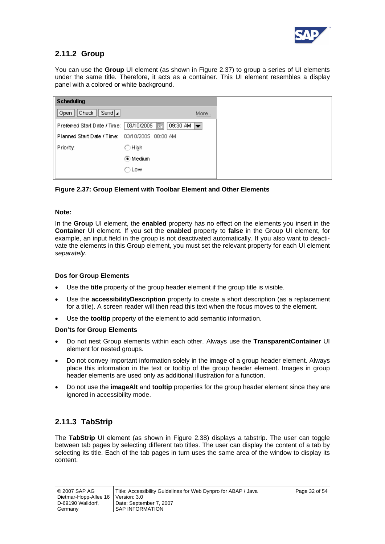

## **2.11.2 Group**

You can use the **Group** UI element (as shown in [Figure 2.37\)](#page-31-0) to group a series of UI elements under the same title. Therefore, it acts as a container. This UI element resembles a display panel with a colored or white background.

<span id="page-31-0"></span>**Figure 2.37: Group Element with Toolbar Element and Other Elements** 

#### **Note:**

In the **Group** UI element, the **enabled** property has no effect on the elements you insert in the **Container** UI element. If you set the **enabled** property to **false** in the Group UI element, for example, an input field in the group is not deactivated automatically. If you also want to deactivate the elements in this Group element, you must set the relevant property for each UI element *separately*.

#### **Dos for Group Elements**

- Use the **title** property of the group header element if the group title is visible.
- Use the **accessibilityDescription** property to create a short description (as a replacement for a title). A screen reader will then read this text when the focus moves to the element.
- Use the **tooltip** property of the element to add semantic information.

#### **Don'ts for Group Elements**

- Do not nest Group elements within each other. Always use the **TransparentContainer** UI element for nested groups.
- Do not convey important information solely in the image of a group header element. Always place this information in the text or tooltip of the group header element. Images in group header elements are used only as additional illustration for a function.
- Do not use the **imageAlt** and **tooltip** properties for the group header element since they are ignored in accessibility mode.

## **2.11.3 TabStrip**

The **TabStrip** UI element (as shown in [Figure 2.38](#page-32-0)) displays a tabstrip. The user can toggle between tab pages by selecting different tab titles. The user can display the content of a tab by selecting its title. Each of the tab pages in turn uses the same area of the window to display its content.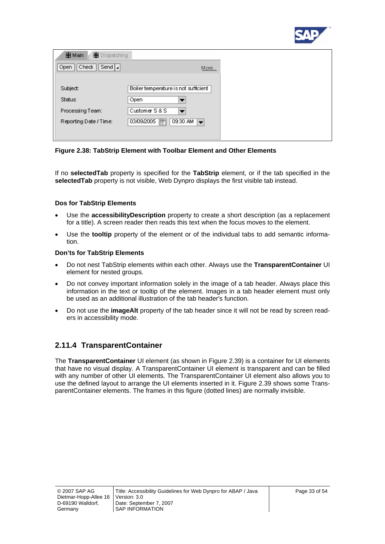

| <b>HB</b> Main<br>Dispatching |                                                         |
|-------------------------------|---------------------------------------------------------|
| Check<br>Send  a<br>Open      | More                                                    |
|                               |                                                         |
| Subject:                      | Boiler temperature is not sufficient                    |
| Status:                       | Open                                                    |
| Processing Team:              | Customer S&S                                            |
| Reporting Date / Time:        | 09:30 AM<br>03/09/2005<br>厨<br>$\overline{\phantom{0}}$ |
|                               |                                                         |

<span id="page-32-0"></span>**Figure 2.38: TabStrip Element with Toolbar Element and Other Elements** 

If no **selectedTab** property is specified for the **TabStrip** element, or if the tab specified in the **selectedTab** property is not visible, Web Dynpro displays the first visible tab instead.

#### **Dos for TabStrip Elements**

- Use the **accessibilityDescription** property to create a short description (as a replacement for a title). A screen reader then reads this text when the focus moves to the element.
- Use the **tooltip** property of the element or of the individual tabs to add semantic information.

#### **Don'ts for TabStrip Elements**

- Do not nest TabStrip elements within each other. Always use the **TransparentContainer** UI element for nested groups.
- Do not convey important information solely in the image of a tab header. Always place this information in the text or tooltip of the element. Images in a tab header element must only be used as an additional illustration of the tab header's function.
- Do not use the **imageAlt** property of the tab header since it will not be read by screen readers in accessibility mode.

## **2.11.4 TransparentContainer**

The **TransparentContainer** UI element (as shown in [Figure 2.39\)](#page-33-0) is a container for UI elements that have no visual display. A TransparentContainer UI element is transparent and can be filled with any number of other UI elements. The TransparentContainer UI element also allows you to use the defined layout to arrange the UI elements inserted in it. [Figure 2.39](#page-33-0) shows some TransparentContainer elements. The frames in this figure (dotted lines) are normally invisible.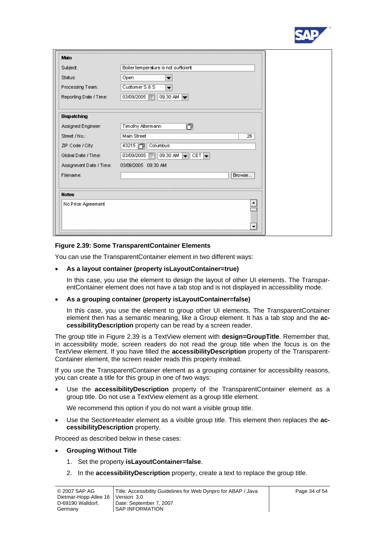

| Main                    |                                                                               |
|-------------------------|-------------------------------------------------------------------------------|
| Subject:                | Boiler temperature is not sufficient                                          |
| Status:                 | Open                                                                          |
| Processing Team:        | Customer S&S                                                                  |
| Reporting Date / Time:  | 03/09/2005 丽<br>09:30 AM $\rightarrow$                                        |
| Dispatching             |                                                                               |
| Assigned Engineer.      | 门<br>Timothy Altermann                                                        |
| Street / No.:           | Main Street<br>26                                                             |
| ZIP Code / City.        | 43215 门<br>Columbus                                                           |
| Global Date / Time:     | 09:30 AM<br>03/09/2005<br>$\parallel$ Cet $\parallel$ $\leftarrow$<br>का<br>u |
| Assignment Date / Time: | 03/09/2005 09:30 AM                                                           |
| Filename:               | Browse                                                                        |
|                         |                                                                               |
| <b>Notes</b>            |                                                                               |
| No Price Agreement      |                                                                               |
|                         |                                                                               |

#### <span id="page-33-0"></span>**Figure 2.39: Some TransparentContainer Elements**

You can use the TransparentContainer element in two different ways:

#### • **As a layout container (property isLayoutContainer=true)**

In this case, you use the element to design the layout of other UI elements. The TransparentContainer element does not have a tab stop and is not displayed in accessibility mode.

#### • **As a grouping container (property isLayoutContainer=false)**

In this case, you use the element to group other UI elements. The TransparentContainer element then has a semantic meaning, like a Group element. It has a tab stop and the **accessibilityDescription** property can be read by a screen reader.

The group title in [Figure 2.39](#page-33-0) is a TextView element with **design=GroupTitle**. Remember that, in accessibility mode, screen readers do not read the group title when the focus is on the TextView element. If you have filled the **accessibilityDescription** property of the Transparent-Container element, the screen reader reads this property instead.

If you use the TransparentContainer element as a grouping container for accessibility reasons, you can create a title for this group in one of two ways:

• Use the **accessibilityDescription** property of the TransparentContainer element as a group title. Do not use a TextView element as a group title element.

We recommend this option if you do not want a visible group title.

• Use the SectionHeader element as a visible group title. This element then replaces the **accessibilityDescription** property.

Proceed as described below in these cases:

#### • **Grouping Without Title**

- 1. Set the property **isLayoutContainer=false**.
- 2. In the **accessibilityDescription** property, create a text to replace the group title.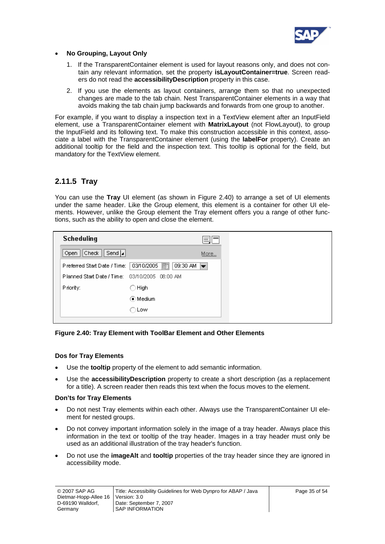

#### • **No Grouping, Layout Only**

- 1. If the TransparentContainer element is used for layout reasons only, and does not contain any relevant information, set the property **isLayoutContainer=true**. Screen readers do not read the **accessibilityDescription** property in this case.
- 2. If you use the elements as layout containers, arrange them so that no unexpected changes are made to the tab chain. Nest TransparentContainer elements in a way that avoids making the tab chain jump backwards and forwards from one group to another.

For example, if you want to display a inspection text in a TextView element after an InputField element, use a TransparentContainer element with **MatrixLayout** (not FlowLayout), to group the InputField and its following text. To make this construction accessible in this context, associate a label with the TransparentContainer element (using the **labelFor** property). Create an additional tooltip for the field and the inspection text. This tooltip is optional for the field, but mandatory for the TextView element.

### **2.11.5 Tray**

You can use the **Tray** UI element (as shown in [Figure 2.40](#page-34-0)) to arrange a set of UI elements under the same header. Like the Group element, this element is a container for other UI elements. However, unlike the Group element the Tray element offers you a range of other functions, such as the ability to open and close the element.

| <b>Scheduling</b>                              |                                           |      |
|------------------------------------------------|-------------------------------------------|------|
| Send $ _{4} $<br>Check<br>Open                 |                                           | More |
| Preferred Start Date / Time:                   | 03/10/2005<br>厨<br>09:30 AM $\rightarrow$ |      |
| Planned Start Date / Time: 03/10/2005 08:00 AM |                                           |      |
| Priority:                                      | ○ High                                    |      |
|                                                | ⊙ Medium                                  |      |
|                                                | ∩Low                                      |      |

#### <span id="page-34-0"></span>**Figure 2.40: Tray Element with ToolBar Element and Other Elements**

#### **Dos for Tray Elements**

- Use the **tooltip** property of the element to add semantic information.
- Use the **accessibilityDescription** property to create a short description (as a replacement for a title). A screen reader then reads this text when the focus moves to the element.

#### **Don'ts for Tray Elements**

- Do not nest Tray elements within each other. Always use the TransparentContainer UI element for nested groups.
- Do not convey important information solely in the image of a tray header. Always place this information in the text or tooltip of the tray header. Images in a tray header must only be used as an additional illustration of the tray header's function.
- Do not use the **imageAlt** and **tooltip** properties of the tray header since they are ignored in accessibility mode.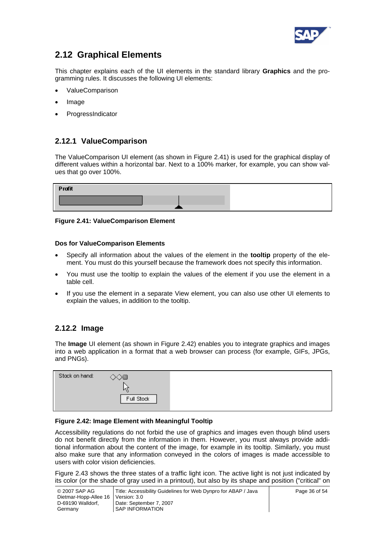

## <span id="page-35-1"></span><span id="page-35-0"></span>**2.12 Graphical Elements**

This chapter explains each of the UI elements in the standard library **Graphics** and the programming rules. It discusses the following UI elements:

- ValueComparison
- Image
- **ProgressIndicator**

## **2.12.1 ValueComparison**

The ValueComparison UI element (as shown in [Figure 2.41\)](#page-35-3) is used for the graphical display of different values within a horizontal bar. Next to a 100% marker, for example, you can show values that go over 100%.

| <b>Profit</b> |  |
|---------------|--|
|               |  |
|               |  |

#### <span id="page-35-3"></span>**Figure 2.41: ValueComparison Element**

#### **Dos for ValueComparison Elements**

- Specify all information about the values of the element in the **tooltip** property of the element. You must do this yourself because the framework does not specify this information.
- You must use the tooltip to explain the values of the element if you use the element in a table cell.
- If you use the element in a separate View element, you can also use other UI elements to explain the values, in addition to the tooltip.

### <span id="page-35-2"></span>**2.12.2 Image**

The **Image** UI element (as shown in [Figure 2.42](#page-35-4)) enables you to integrate graphics and images into a web application in a format that a web browser can process (for example, GIFs, JPGs, and PNGs).

| Stock on hand: | ◇◇■        |  |
|----------------|------------|--|
|                |            |  |
|                | Full Stock |  |
|                |            |  |

#### <span id="page-35-4"></span>**Figure 2.42: Image Element with Meaningful Tooltip**

Accessibility regulations do not forbid the use of graphics and images even though blind users do not benefit directly from the information in them. However, you must always provide additional information about the content of the image, for example in its tooltip. Similarly, you must also make sure that any information conveyed in the colors of images is made accessible to users with color vision deficiencies.

[Figure 2.43](#page-36-0) shows the three states of a traffic light icon. The active light is not just indicated by its color (or the shade of gray used in a printout), but also by its shape and position ("critical" on

| © 2007 SAP AG                        | Title: Accessibility Guidelines for Web Dynpro for ABAP / Java |  |
|--------------------------------------|----------------------------------------------------------------|--|
| Dietmar-Hopp-Allee 16   Version: 3.0 |                                                                |  |
| D-69190 Walldorf.                    | Date: September 7, 2007                                        |  |
| Germany                              | SAP INFORMATION                                                |  |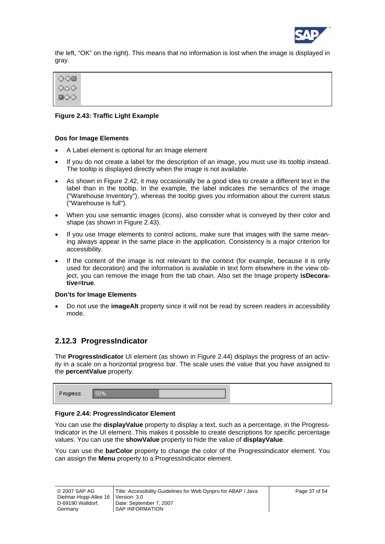

the left, "OK" on the right). This means that no information is lost when the image is displayed in gray.



#### <span id="page-36-0"></span>**Figure 2.43: Traffic Light Example**

#### **Dos for Image Elements**

- A Label element is optional for an Image element
- If you do not create a label for the description of an image, you must use its tooltip instead. The tooltip is displayed directly when the image is not available.
- As shown in [Figure 2.42,](#page-35-4) it may occasionally be a good idea to create a different text in the label than in the tooltip. In the example, the label indicates the semantics of the image ("Warehouse Inventory"), whereas the tooltip gives you information about the current status ("Warehouse is full").
- When you use semantic images (icons), also consider what is conveyed by their color and shape (as shown in [Figure 2.43\)](#page-36-0).
- If you use Image elements to control actions, make sure that images with the same meaning always appear in the same place in the application. Consistency is a major criterion for accessibility.
- If the content of the image is not relevant to the context (for example, because it is only used for decoration) and the information is available in text form elsewhere in the view object, you can remove the image from the tab chain. Also set the Image property **isDecorative=true**.

#### **Don'ts for Image Elements**

• Do not use the **imageAlt** property since it will not be read by screen readers in accessibility mode.

### **2.12.3 ProgressIndicator**

The **ProgressIndicator** UI element (as shown in [Figure 2.44](#page-36-1)) displays the progress of an activity in a scale on a horizontal progress bar. The scale uses the value that you have assigned to the **percentValue** property.

| <b>CALL AND ALL AND THE REAL PROPERTY</b><br>dhess |  |
|----------------------------------------------------|--|
|                                                    |  |

#### <span id="page-36-1"></span>**Figure 2.44: ProgressIndicator Element**

You can use the **displayValue** property to display a text, such as a percentage, in the Progress-Indicator in the UI element. This makes it possible to create descriptions for specific percentage values. You can use the **showValue** property to hide the value of **displayValue**.

You can use the **barColor** property to change the color of the ProgressIndicator element. You can assign the **Menu** property to a ProgressIndicator element.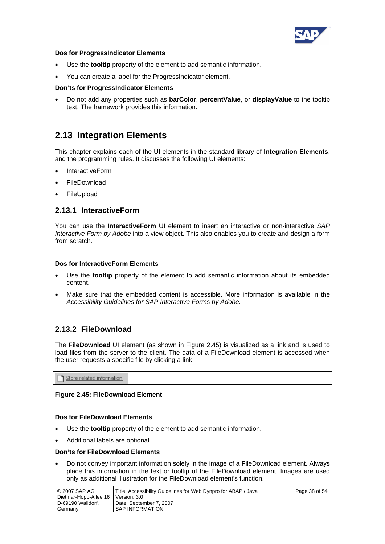

#### <span id="page-37-0"></span>**Dos for ProgressIndicator Elements**

- Use the **tooltip** property of the element to add semantic information.
- You can create a label for the ProgressIndicator element.

#### **Don'ts for ProgressIndicator Elements**

• Do not add any properties such as **barColor**, **percentValue**, or **displayValue** to the tooltip text. The framework provides this information.

## **2.13 Integration Elements**

This chapter explains each of the UI elements in the standard library of **Integration Elements**, and the programming rules. It discusses the following UI elements:

- InteractiveForm
- FileDownload
- **FileUpload**

## **2.13.1 InteractiveForm**

You can use the **InteractiveForm** UI element to insert an interactive or non-interactive *SAP Interactive Form by Adobe* into a view object. This also enables you to create and design a form from scratch.

#### **Dos for InteractiveForm Elements**

- Use the **tooltip** property of the element to add semantic information about its embedded content.
- Make sure that the embedded content is accessible. More information is available in the *Accessibility Guidelines for SAP Interactive Forms by Adobe.*

## **2.13.2 FileDownload**

The **FileDownload** UI element (as shown in [Figure 2.45](#page-37-1)) is visualized as a link and is used to load files from the server to the client. The data of a FileDownload element is accessed when the user requests a specific file by clicking a link.

Store related information

#### <span id="page-37-1"></span>**Figure 2.45: FileDownload Element**

#### **Dos for FileDownload Elements**

- Use the **tooltip** property of the element to add semantic information.
- Additional labels are optional.

#### **Don'ts for FileDownload Elements**

• Do not convey important information solely in the image of a FileDownload element. Always place this information in the text or tooltip of the FileDownload element. Images are used only as additional illustration for the FileDownload element's function.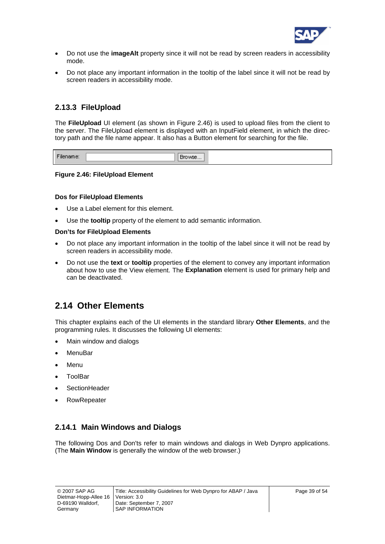

- <span id="page-38-0"></span>• Do not use the **imageAlt** property since it will not be read by screen readers in accessibility mode.
- Do not place any important information in the tooltip of the label since it will not be read by screen readers in accessibility mode.

## **2.13.3 FileUpload**

The **FileUpload** UI element (as shown in [Figure 2.46](#page-38-1)) is used to upload files from the client to the server. The FileUpload element is displayed with an InputField element, in which the directory path and the file name appear. It also has a Button element for searching for the file.

| and the first state of the state of |
|-------------------------------------|
|-------------------------------------|

#### <span id="page-38-1"></span>**Figure 2.46: FileUpload Element**

#### **Dos for FileUpload Elements**

- Use a Label element for this element.
- Use the **tooltip** property of the element to add semantic information.

#### **Don'ts for FileUpload Elements**

- Do not place any important information in the tooltip of the label since it will not be read by screen readers in accessibility mode.
- Do not use the **text** or **tooltip** properties of the element to convey any important information about how to use the View element. The **Explanation** element is used for primary help and can be deactivated.

## **2.14 Other Elements**

This chapter explains each of the UI elements in the standard library **Other Elements**, and the programming rules. It discusses the following UI elements:

- Main window and dialogs
- MenuBar
- **Menu**
- ToolBar
- **SectionHeader**
- **RowRepeater**

### **2.14.1 Main Windows and Dialogs**

The following Dos and Don'ts refer to main windows and dialogs in Web Dynpro applications. (The **Main Window** is generally the window of the web browser.)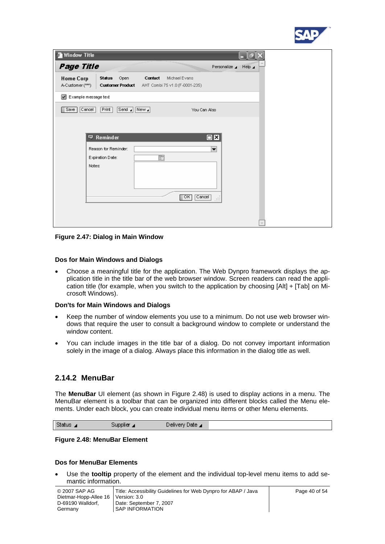

| Nindow Title                                 |                                                                                                         | œ                     |
|----------------------------------------------|---------------------------------------------------------------------------------------------------------|-----------------------|
| Page Title                                   | Personalize 4                                                                                           | Help $\blacktriangle$ |
| <b>Home Corp</b><br>A-Customer (***)         | Contact<br>Status<br>Open<br>Michael Evans<br><b>Customer Product</b><br>AHT Combi 75 v1.0 (F-0001-235) |                       |
| $\blacktriangledown$<br>Example message text |                                                                                                         |                       |
| Cancel<br>Save                               | Print<br>$New_4$<br>Send $\mathbf{a}$<br>You Can Also                                                   |                       |
|                                              |                                                                                                         |                       |
|                                              | $\square$ x<br><b>▼ Reminder</b>                                                                        |                       |
|                                              | Reason for Reminder:<br>▼                                                                               |                       |
|                                              | 面<br>Expiration Date:                                                                                   |                       |
|                                              | Notes:                                                                                                  |                       |
|                                              | $\Box$ ok $\Box$<br>Cancel<br>$\sim$ $\sim$                                                             |                       |
|                                              |                                                                                                         |                       |
|                                              |                                                                                                         |                       |

#### **Figure 2.47: Dialog in Main Window**

#### **Dos for Main Windows and Dialogs**

• Choose a meaningful title for the application. The Web Dynpro framework displays the application title in the title bar of the web browser window. Screen readers can read the application title (for example, when you switch to the application by choosing [Alt] + [Tab] on Microsoft Windows).

#### **Don'ts for Main Windows and Dialogs**

- Keep the number of window elements you use to a minimum. Do not use web browser windows that require the user to consult a background window to complete or understand the window content.
- You can include images in the title bar of a dialog. Do not convey important information solely in the image of a dialog. Always place this information in the dialog title as well.

### **2.14.2 MenuBar**

The **MenuBar** UI element (as shown in [Figure 2.48](#page-39-0)) is used to display actions in a menu. The MenuBar element is a toolbar that can be organized into different blocks called the Menu elements. Under each block, you can create individual menu items or other Menu elements.

|--|

#### <span id="page-39-0"></span>**Figure 2.48: MenuBar Element**

#### **Dos for MenuBar Elements**

• Use the **tooltip** property of the element and the individual top-level menu items to add semantic information.

| © 2007 SAP AG         | Title: Accessibility Guidelines for Web Dynpro for ABAP / Java | Page 40 of 54 |
|-----------------------|----------------------------------------------------------------|---------------|
| Dietmar-Hopp-Allee 16 | Version: 3.0                                                   |               |
| D-69190 Walldorf,     | Date: September 7, 2007                                        |               |
| Germany               | <b>SAP INFORMATION</b>                                         |               |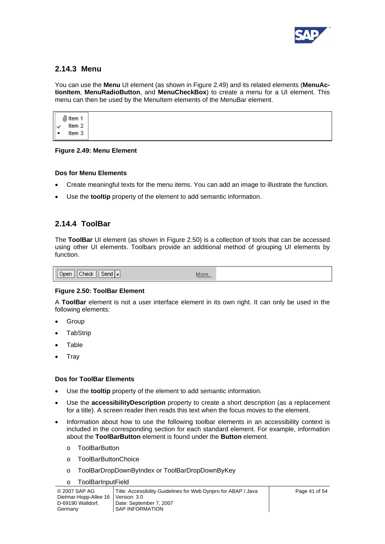

## **2.14.3 Menu**

You can use the **Menu** UI element (as shown in [Figure 2.49\)](#page-40-0) and its related elements (**MenuActionItem**, **MenuRadioButton**, and **MenuCheckBox**) to create a menu for a UI element. This menu can then be used by the MenuItem elements of the MenuBar element.

 $\mathbb{I}$  Item 1 Item 2 Item 3

#### <span id="page-40-0"></span>**Figure 2.49: Menu Element**

#### **Dos for Menu Elements**

- Create meaningful texts for the menu items. You can add an image to illustrate the function.
- Use the **tooltip** property of the element to add semantic information.

### **2.14.4 ToolBar**

The **ToolBar** UI element (as shown in [Figure 2.50\)](#page-40-1) is a collection of tools that can be accessed using other UI elements. Toolbars provide an additional method of grouping UI elements by function.

|--|

#### <span id="page-40-1"></span>**Figure 2.50: ToolBar Element**

A **ToolBar** element is not a user interface element in its own right. It can only be used in the following elements:

- Group
- **TabStrip**
- **Table**
- Tray

#### **Dos for ToolBar Elements**

- Use the **tooltip** property of the element to add semantic information.
- Use the **accessibilityDescription** property to create a short description (as a replacement for a title). A screen reader then reads this text when the focus moves to the element.
- Information about how to use the following toolbar elements in an accessibility context is included in the corresponding section for each standard element. For example, information about the **ToolBarButton** element is found under the **Button** element.
	- o ToolBarButton
	- o ToolBarButtonChoice
	- o ToolBarDropDownByIndex or ToolBarDropDownByKey
	- o ToolBarInputField

| © 2007 SAP AG<br>Dietmar-Hopp-Allee 16 | Title: Accessibility Guidelines for Web Dynpro for ABAP / Java<br>Version: 3.0 | Page 41 of 54 |
|----------------------------------------|--------------------------------------------------------------------------------|---------------|
| D-69190 Walldorf.                      | Date: September 7, 2007                                                        |               |
| Germany                                | SAP INFORMATION                                                                |               |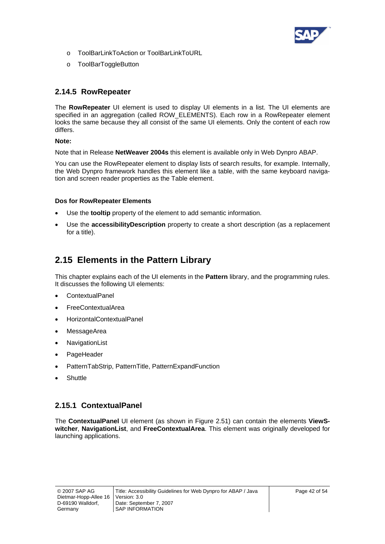

- <span id="page-41-0"></span>o ToolBarLinkToAction or ToolBarLinkToURL
- o ToolBarToggleButton

## **2.14.5 RowRepeater**

The **RowRepeater** UI element is used to display UI elements in a list. The UI elements are specified in an aggregation (called ROW\_ELEMENTS). Each row in a RowRepeater element looks the same because they all consist of the same UI elements. Only the content of each row differs.

#### **Note:**

Note that in Release **NetWeaver 2004s** this element is available only in Web Dynpro ABAP.

You can use the RowRepeater element to display lists of search results, for example. Internally, the Web Dynpro framework handles this element like a table, with the same keyboard navigation and screen reader properties as the Table element.

#### **Dos for RowRepeater Elements**

- Use the **tooltip** property of the element to add semantic information.
- Use the **accessibilityDescription** property to create a short description (as a replacement for a title).

## **2.15 Elements in the Pattern Library**

This chapter explains each of the UI elements in the **Pattern** library, and the programming rules. It discusses the following UI elements:

- ContextualPanel
- FreeContextualArea
- HorizontalContextualPanel
- **MessageArea**
- **NavigationList**
- PageHeader
- PatternTabStrip, PatternTitle, PatternExpandFunction
- **Shuttle**

## **2.15.1 ContextualPanel**

The **ContextualPanel** UI element (as shown in [Figure 2.51](#page-42-0)) can contain the elements **ViewSwitcher**, **NavigationList**, and **FreeContextualArea**. This element was originally developed for launching applications.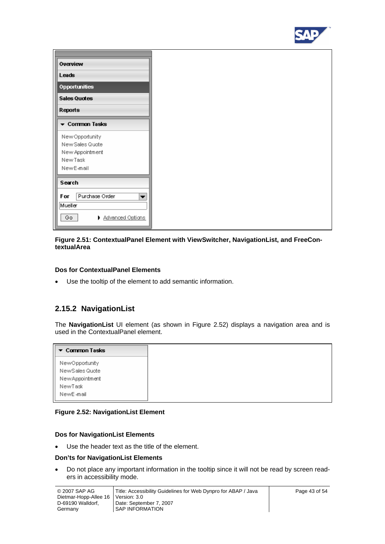

| Overview                           |  |
|------------------------------------|--|
|                                    |  |
| Leads                              |  |
| <b>Opportunities</b>               |  |
| <b>Sales Quotes</b>                |  |
| Reports                            |  |
| ▼ Common Tasks                     |  |
|                                    |  |
| New Opportunity                    |  |
| New Sales Quote<br>New Appointment |  |
| New Task                           |  |
| New E-mail                         |  |
| Search                             |  |
|                                    |  |
| Purchase Order<br>For<br>▼         |  |
| Mueller                            |  |
| Go.<br>Advanced Options            |  |
|                                    |  |

#### <span id="page-42-0"></span>**Figure 2.51: ContextualPanel Element with ViewSwitcher, NavigationList, and FreeContextualArea**

#### **Dos for ContextualPanel Elements**

• Use the tooltip of the element to add semantic information.

## **2.15.2 NavigationList**

The **NavigationList** UI element (as shown in [Figure 2.52\)](#page-42-1) displays a navigation area and is used in the ContextualPanel element.

| $\blacktriangleright$ Common Tasks |
|------------------------------------|
| NewOpportunity                     |
| New Sales Quote                    |
| New Appointment                    |
| NewTask                            |
| NewE-mail                          |

#### <span id="page-42-1"></span>**Figure 2.52: NavigationList Element**

#### **Dos for NavigationList Elements**

• Use the header text as the title of the element.

#### **Don'ts for NavigationList Elements**

• Do not place any important information in the tooltip since it will not be read by screen readers in accessibility mode.

| © 2007 SAP AG<br>Dietmar-Hopp-Allee 16 | Title: Accessibility Guidelines for Web Dynpro for ABAP / Java<br>Version: 3.0 | Page 43 of 54 |
|----------------------------------------|--------------------------------------------------------------------------------|---------------|
| D-69190 Walldorf.<br>Germany           | Date: September 7, 2007<br><b>SAP INFORMATION</b>                              |               |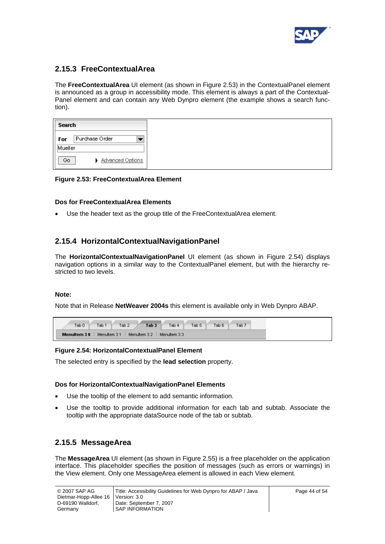

## **2.15.3 FreeContextualArea**

The **FreeContextualArea** UI element (as shown in [Figure 2.53\)](#page-43-0) in the ContextualPanel element is announced as a group in accessibility mode. This element is always a part of the Contextual-Panel element and can contain any Web Dynpro element (the example shows a search function).

| Search  |                         |
|---------|-------------------------|
| For     | Purchase Order          |
| Mueller |                         |
| Go      | <b>Advanced Options</b> |

#### <span id="page-43-0"></span>**Figure 2.53: FreeContextualArea Element**

#### **Dos for FreeContextualArea Elements**

• Use the header text as the group title of the FreeContextualArea element.

## **2.15.4 HorizontalContextualNavigationPanel**

The **HorizontalContextualNavigationPanel** UI element (as shown in [Figure 2.54\)](#page-43-1) displays navigation options in a similar way to the ContextualPanel element, but with the hierarchy restricted to two levels.

#### **Note:**

Note that in Release **NetWeaver 2004s** this element is available only in Web Dynpro ABAP.

|                                                              | Tab <sub>0</sub> | Tab 1 | Tab <sub>2</sub> | Tab <sub>3</sub> | Tab 4 | Tab <sub>5</sub> | Tab 6 | Tab <sub>7</sub> |  |
|--------------------------------------------------------------|------------------|-------|------------------|------------------|-------|------------------|-------|------------------|--|
| Menuttern 31<br>Menultern 3.2<br>Menuitem 30<br>Menultern 33 |                  |       |                  |                  |       |                  |       |                  |  |

#### <span id="page-43-1"></span>**Figure 2.54: HorizontalContextualPanel Element**

The selected entry is specified by the **lead selection** property.

#### **Dos for HorizontalContextualNavigationPanel Elements**

- Use the tooltip of the element to add semantic information.
- Use the tooltip to provide additional information for each tab and subtab. Associate the tooltip with the appropriate dataSource node of the tab or subtab.

### **2.15.5 MessageArea**

The **MessageArea** UI element (as shown in [Figure 2.55\)](#page-44-0) is a free placeholder on the application interface. This placeholder specifies the position of messages (such as errors or warnings) in the View element. Only one MessageArea element is allowed in each View element.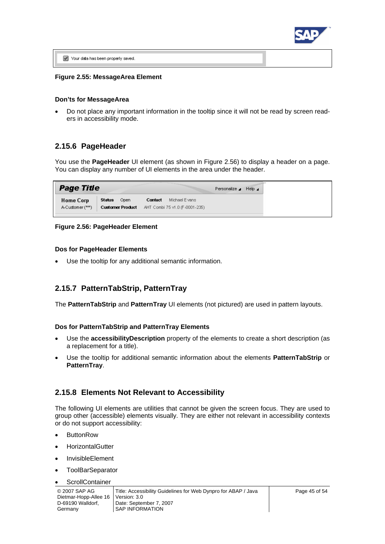

V Your data has been properly saved.

#### <span id="page-44-0"></span>**Figure 2.55: MessageArea Element**

#### **Don'ts for MessageArea**

• Do not place any important information in the tooltip since it will not be read by screen readers in accessibility mode.

### **2.15.6 PageHeader**

You use the **PageHeader** UI element (as shown in [Figure 2.56\)](#page-44-1) to display a header on a page. You can display any number of UI elements in the area under the header.

| <b>Page Title</b>             |                                                                       |                              | Personalize ▲ Help ▲ |  |
|-------------------------------|-----------------------------------------------------------------------|------------------------------|----------------------|--|
| Home Corp<br>A-Customer (***) | Status Open<br><b>Customer Product</b> AHT Combi 75 v1.0 (F-0001-235) | <b>Contact</b> Michael Evans |                      |  |

#### <span id="page-44-1"></span>**Figure 2.56: PageHeader Element**

#### **Dos for PageHeader Elements**

Use the tooltip for any additional semantic information.

### **2.15.7 PatternTabStrip, PatternTray**

The **PatternTabStrip** and **PatternTray** UI elements (not pictured) are used in pattern layouts.

#### **Dos for PatternTabStrip and PatternTray Elements**

- Use the **accessibilityDescription** property of the elements to create a short description (as a replacement for a title).
- Use the tooltip for additional semantic information about the elements **PatternTabStrip** or **PatternTray**.

#### **2.15.8 Elements Not Relevant to Accessibility**

The following UI elements are utilities that cannot be given the screen focus. They are used to group other (accessible) elements visually. They are either not relevant in accessibility contexts or do not support accessibility:

- **ButtonRow**
- **HorizontalGutter**
- InvisibleElement
- **ToolBarSeparator**
- **ScrollContainer**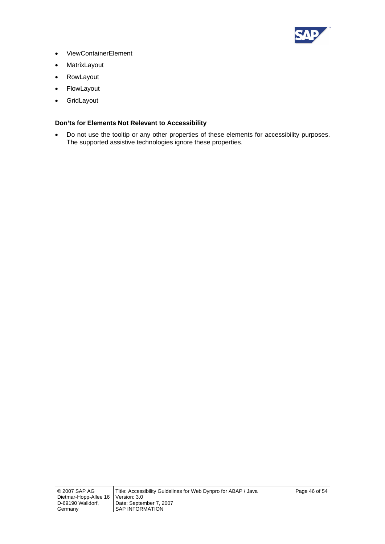

- ViewContainerElement
- **MatrixLayout**
- **RowLayout**
- **FlowLayout**
- GridLayout

#### **Don'ts for Elements Not Relevant to Accessibility**

• Do not use the tooltip or any other properties of these elements for accessibility purposes. The supported assistive technologies ignore these properties.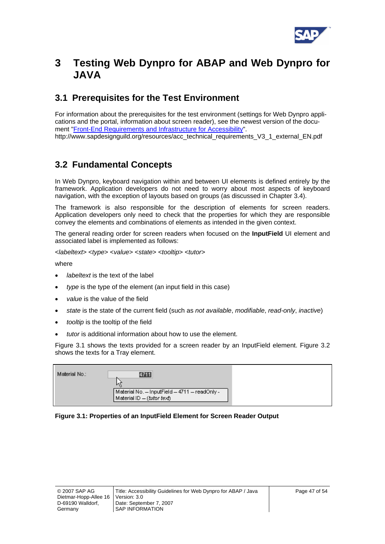

## <span id="page-46-0"></span>**3 Testing Web Dynpro for ABAP and Web Dynpro for JAVA**

## **3.1 Prerequisites for the Test Environment**

For information about the prerequisites for the test environment (settings for Web Dynpro applications and the portal, information about screen reader), see the newest version of the document "[Front-End Requirements and Infrastructure for Accessibility"](http://www.sapdesignguild.org/resources/acc_technical_requirements_V3_1_external_EN.pdf). http://www.sapdesignguild.org/resources/acc\_technical\_requirements\_V3\_1\_external\_EN.pdf

## **3.2 Fundamental Concepts**

In Web Dynpro, keyboard navigation within and between UI elements is defined entirely by the framework. Application developers do not need to worry about most aspects of keyboard navigation, with the exception of layouts based on groups (as discussed in Chapter [3.4\)](#page-50-1).

The framework is also responsible for the description of elements for screen readers. Application developers only need to check that the properties for which they are responsible convey the elements and combinations of elements as intended in the given context.

The general reading order for screen readers when focused on the **InputField** UI element and associated label is implemented as follows:

<*labeltext*> <*type*> <*value*> <*state*> <*tooltip*> <*tutor*>

where

- *labeltext* is the text of the label
- *type* is the type of the element (an input field in this case)
- *value* is the value of the field
- *state* is the state of the current field (such as *not available*, *modifiable*, *read-only*, *inactive*)
- *tooltip* is the tooltip of the field
- *tutor* is additional information about how to use the element.

[Figure 3.1](#page-46-1) shows the texts provided for a screen reader by an InputField element. [Figure 3.2](#page-47-2) shows the texts for a Tray element.

| Material No.: | 4711                                                                        |  |
|---------------|-----------------------------------------------------------------------------|--|
|               | Material No. - InputField - 4711 - readOnly -<br>Material ID - (tutor text) |  |

#### <span id="page-46-1"></span>**Figure 3.1: Properties of an InputField Element for Screen Reader Output**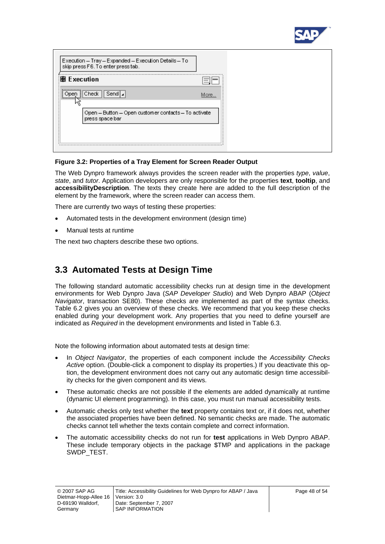

<span id="page-47-0"></span>

#### <span id="page-47-2"></span>**Figure 3.2: Properties of a Tray Element for Screen Reader Output**

The Web Dynpro framework always provides the screen reader with the properties *type*, *value*, *state*, and *tutor*. Application developers are only responsible for the properties **text**, **tooltip**, and **accessibilityDescription**. The texts they create here are added to the full description of the element by the framework, where the screen reader can access them.

There are currently two ways of testing these properties:

- Automated tests in the development environment (design time)
- Manual tests at runtime

The next two chapters describe these two options.

## <span id="page-47-1"></span>**3.3 Automated Tests at Design Time**

The following standard automatic accessibility checks run at design time in the development environments for Web Dynpro Java (*SAP Developer Studio*) and Web Dynpro ABAP (*Object Navigator*, transaction SE80). These checks are implemented as part of the syntax checks. Table 6.2 gives you an overview of these checks. We recommend that you keep these checks enabled during your development work. Any properties that you need to define yourself are indicated as *Required* in the development environments and listed in Table 6.3.

Note the following information about automated tests at design time:

- In *Object Navigator*, the properties of each component include the *Accessibility Checks Active* option. (Double-click a component to display its properties.) If you deactivate this option, the development environment does not carry out any automatic design time accessibility checks for the given component and its views.
- These automatic checks are not possible if the elements are added dynamically at runtime (dynamic UI element programming). In this case, you must run manual accessibility tests.
- Automatic checks only test whether the **text** property contains text or, if it does not, whether the associated properties have been defined. No semantic checks are made. The automatic checks cannot tell whether the texts contain complete and correct information.
- The automatic accessibility checks do not run for **test** applications in Web Dynpro ABAP. These include temporary objects in the package \$TMP and applications in the package SWDP\_TEST.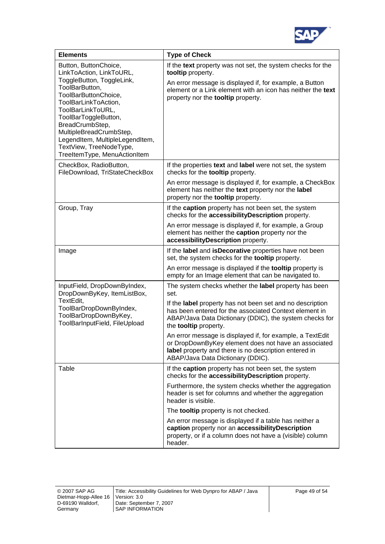

| <b>Elements</b>                                                                                                                                                                                                                                                                                                                           | <b>Type of Check</b>                                                                                                                                                                                                                             |
|-------------------------------------------------------------------------------------------------------------------------------------------------------------------------------------------------------------------------------------------------------------------------------------------------------------------------------------------|--------------------------------------------------------------------------------------------------------------------------------------------------------------------------------------------------------------------------------------------------|
| Button, ButtonChoice,<br>LinkToAction, LinkToURL,<br>ToggleButton, ToggleLink,<br>ToolBarButton,<br>ToolBarButtonChoice,<br>ToolBarLinkToAction,<br>ToolBarLinkToURL,<br>ToolBarToggleButton,<br>BreadCrumbStep,<br>MultipleBreadCrumbStep,<br>LegendItem, MultipleLegendItem,<br>TextView, TreeNodeType,<br>TreeltemType, MenuActionItem | If the text property was not set, the system checks for the<br>tooltip property.<br>An error message is displayed if, for example, a Button<br>element or a Link element with an icon has neither the text<br>property nor the tooltip property. |
| CheckBox, RadioButton,<br>FileDownload, TriStateCheckBox                                                                                                                                                                                                                                                                                  | If the properties text and label were not set, the system<br>checks for the <b>tooltip</b> property.                                                                                                                                             |
|                                                                                                                                                                                                                                                                                                                                           | An error message is displayed if, for example, a CheckBox<br>element has neither the text property nor the label<br>property nor the tooltip property.                                                                                           |
| Group, Tray                                                                                                                                                                                                                                                                                                                               | If the caption property has not been set, the system<br>checks for the accessibilityDescription property.                                                                                                                                        |
|                                                                                                                                                                                                                                                                                                                                           | An error message is displayed if, for example, a Group<br>element has neither the caption property nor the<br>accessibilityDescription property.                                                                                                 |
| Image                                                                                                                                                                                                                                                                                                                                     | If the label and isDecorative properties have not been<br>set, the system checks for the tooltip property.                                                                                                                                       |
|                                                                                                                                                                                                                                                                                                                                           | An error message is displayed if the <b>tooltip</b> property is<br>empty for an Image element that can be navigated to.                                                                                                                          |
| InputField, DropDownByIndex,<br>DropDownByKey, ItemListBox,                                                                                                                                                                                                                                                                               | The system checks whether the label property has been<br>set.                                                                                                                                                                                    |
| TextEdit,<br>ToolBarDropDownByIndex,<br>ToolBarDropDownByKey,<br>ToolBarInputField, FileUpload                                                                                                                                                                                                                                            | If the label property has not been set and no description<br>has been entered for the associated Context element in<br>ABAP/Java Data Dictionary (DDIC), the system checks for<br>the <b>tooltip</b> property.                                   |
|                                                                                                                                                                                                                                                                                                                                           | An error message is displayed if, for example, a TextEdit<br>or DropDownByKey element does not have an associated<br>label property and there is no description entered in<br>ABAP/Java Data Dictionary (DDIC).                                  |
| Table                                                                                                                                                                                                                                                                                                                                     | If the caption property has not been set, the system<br>checks for the accessibility Description property.                                                                                                                                       |
|                                                                                                                                                                                                                                                                                                                                           | Furthermore, the system checks whether the aggregation<br>header is set for columns and whether the aggregation<br>header is visible.                                                                                                            |
|                                                                                                                                                                                                                                                                                                                                           | The <b>tooltip</b> property is not checked.                                                                                                                                                                                                      |
|                                                                                                                                                                                                                                                                                                                                           | An error message is displayed if a table has neither a<br>caption property nor an accessibilityDescription<br>property, or if a column does not have a (visible) column<br>header.                                                               |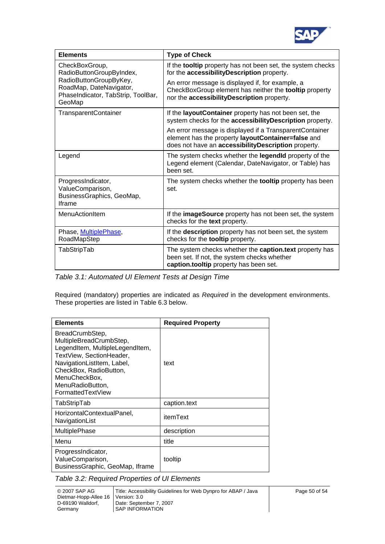

| <b>Elements</b>                                                                                                                                 | <b>Type of Check</b>                                                                                                                                                   |
|-------------------------------------------------------------------------------------------------------------------------------------------------|------------------------------------------------------------------------------------------------------------------------------------------------------------------------|
| CheckBoxGroup,<br>RadioButtonGroupByIndex,<br>RadioButtonGroupByKey,<br>RoadMap, DateNavigator,<br>PhaseIndicator, TabStrip, ToolBar,<br>GeoMap | If the tooltip property has not been set, the system checks<br>for the accessibility Description property.                                                             |
|                                                                                                                                                 | An error message is displayed if, for example, a<br>CheckBoxGroup element has neither the tooltip property<br>nor the accessibilityDescription property.               |
| <b>TransparentContainer</b>                                                                                                                     | If the layout Container property has not been set, the<br>system checks for the accessibility Description property.                                                    |
|                                                                                                                                                 | An error message is displayed if a Transparent Container<br>element has the property layoutContainer=false and<br>does not have an accessibility Description property. |
| Legend                                                                                                                                          | The system checks whether the legendid property of the<br>Legend element (Calendar, DateNavigator, or Table) has<br>been set.                                          |
| ProgressIndicator,<br>ValueComparison,<br>BusinessGraphics, GeoMap,<br><b>Iframe</b>                                                            | The system checks whether the tooltip property has been<br>set.                                                                                                        |
| <b>MenuActionItem</b>                                                                                                                           | If the imageSource property has not been set, the system<br>checks for the text property.                                                                              |
| Phase, MultiplePhase,<br>RoadMapStep                                                                                                            | If the description property has not been set, the system<br>checks for the tooltip property.                                                                           |
| TabStripTab                                                                                                                                     | The system checks whether the <b>caption.text</b> property has<br>been set. If not, the system checks whether<br>caption.tooltip property has been set.                |

*Table 3.1: Automated UI Element Tests at Design Time* 

Required (mandatory) properties are indicated as *Required* in the development environments. These properties are listed in Table 6.3 below.

| <b>Elements</b>                                                                                                                                                                                                             | <b>Required Property</b> |
|-----------------------------------------------------------------------------------------------------------------------------------------------------------------------------------------------------------------------------|--------------------------|
| BreadCrumbStep,<br>MultipleBreadCrumbStep,<br>LegendItem, MultipleLegendItem,<br>TextView, SectionHeader,<br>NavigationListItem, Label,<br>CheckBox, RadioButton,<br>MenuCheckBox,<br>MenuRadioButton,<br>FormattedTextView | text                     |
| TabStripTab                                                                                                                                                                                                                 | caption.text             |
| HorizontalContextualPanel,<br>NavigationList                                                                                                                                                                                | itemText                 |
| <b>MultiplePhase</b>                                                                                                                                                                                                        | description              |
| Menu                                                                                                                                                                                                                        | title                    |
| ProgressIndicator,<br>ValueComparison,<br>BusinessGraphic, GeoMap, Iframe                                                                                                                                                   | tooltip                  |

*Table 3.2: Required Properties of UI Elements*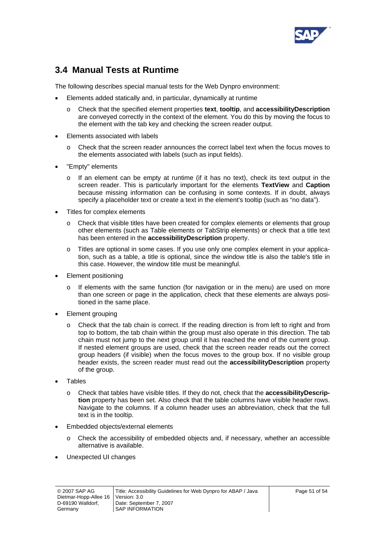

## <span id="page-50-1"></span><span id="page-50-0"></span>**3.4 Manual Tests at Runtime**

The following describes special manual tests for the Web Dynpro environment:

- Elements added statically and, in particular, dynamically at runtime
	- o Check that the specified element properties **text**, **tooltip**, and **accessibilityDescription** are conveyed correctly in the context of the element. You do this by moving the focus to the element with the tab key and checking the screen reader output.
- Elements associated with labels
	- o Check that the screen reader announces the correct label text when the focus moves to the elements associated with labels (such as input fields).
- "Empty" elements
	- $\circ$  If an element can be empty at runtime (if it has no text), check its text output in the screen reader. This is particularly important for the elements **TextView** and **Caption** because missing information can be confusing in some contexts. If in doubt, always specify a placeholder text or create a text in the element's tooltip (such as "no data").
- Titles for complex elements
	- o Check that visible titles have been created for complex elements or elements that group other elements (such as Table elements or TabStrip elements) or check that a title text has been entered in the **accessibilityDescription** property.
	- o Titles are optional in some cases. If you use only one complex element in your application, such as a table, a title is optional, since the window title is also the table's title in this case. However, the window title must be meaningful.
- Element positioning
	- o If elements with the same function (for navigation or in the menu) are used on more than one screen or page in the application, check that these elements are always positioned in the same place.
- Element grouping
	- o Check that the tab chain is correct. If the reading direction is from left to right and from top to bottom, the tab chain within the group must also operate in this direction. The tab chain must not jump to the next group until it has reached the end of the current group. If nested element groups are used, check that the screen reader reads out the correct group headers (if visible) when the focus moves to the group box. If no visible group header exists, the screen reader must read out the **accessibilityDescription** property of the group.
- Tables
	- o Check that tables have visible titles. If they do not, check that the **accessibilityDescription** property has been set. Also check that the table columns have visible header rows. Navigate to the columns. If a column header uses an abbreviation, check that the full text is in the tooltip.
- Embedded objects/external elements
	- Check the accessibility of embedded objects and, if necessary, whether an accessible alternative is available.
- Unexpected UI changes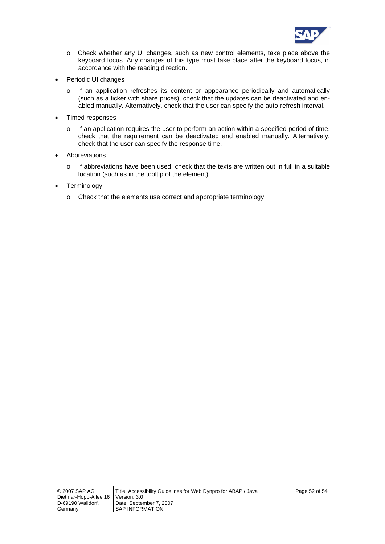

- o Check whether any UI changes, such as new control elements, take place above the keyboard focus. Any changes of this type must take place after the keyboard focus, in accordance with the reading direction.
- Periodic UI changes
	- o If an application refreshes its content or appearance periodically and automatically (such as a ticker with share prices), check that the updates can be deactivated and enabled manually. Alternatively, check that the user can specify the auto-refresh interval.
- Timed responses
	- o If an application requires the user to perform an action within a specified period of time, check that the requirement can be deactivated and enabled manually. Alternatively, check that the user can specify the response time.
- **Abbreviations** 
	- $\circ$  If abbreviations have been used, check that the texts are written out in full in a suitable location (such as in the tooltip of the element).
- Terminology
	- o Check that the elements use correct and appropriate terminology.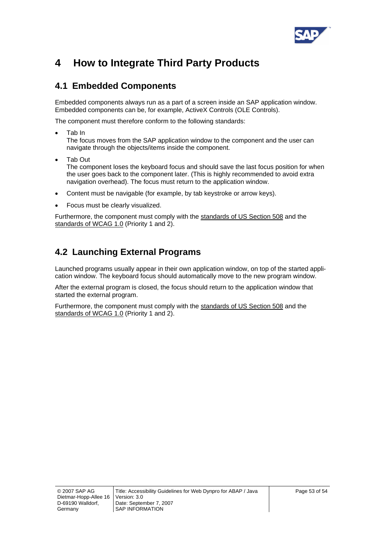

# <span id="page-52-0"></span>**4 How to Integrate Third Party Products**

## **4.1 Embedded Components**

Embedded components always run as a part of a screen inside an SAP application window. Embedded components can be, for example, ActiveX Controls (OLE Controls).

The component must therefore conform to the following standards:

- Tab In The focus moves from the SAP application window to the component and the user can navigate through the objects/items inside the component.
- Tab Out The component loses the keyboard focus and should save the last focus position for when the user goes back to the component later. (This is highly recommended to avoid extra navigation overhead). The focus must return to the application window.
- Content must be navigable (for example, by tab keystroke or arrow keys).
- Focus must be clearly visualized.

Furthermore, the component must comply with the [standards of US Section 508](http://www.section508.gov/index.cfm?FuseAction=Content&ID=12) and the [standards of WCAG 1.0](http://www.w3.org/TR/WAI-WEBCONTENT/) (Priority 1 and 2).

## **4.2 Launching External Programs**

Launched programs usually appear in their own application window, on top of the started application window. The keyboard focus should automatically move to the new program window.

After the external program is closed, the focus should return to the application window that started the external program.

Furthermore, the component must comply with the [standards of US Section 508](http://www.section508.gov/index.cfm?FuseAction=Content&ID=12) and the [standards of WCAG 1.0](http://www.w3.org/TR/WAI-WEBCONTENT/) (Priority 1 and 2).